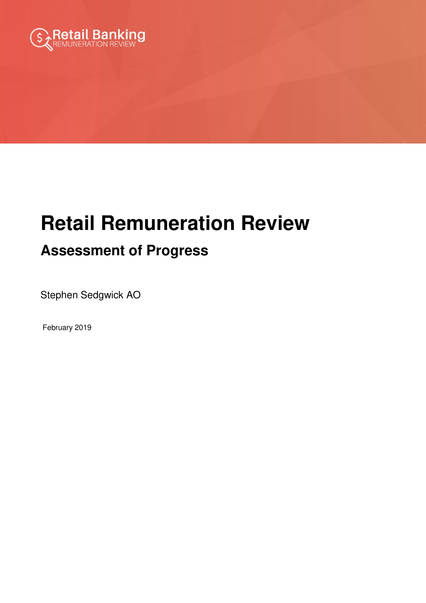

# **Retail Remuneration Review**

# **Assessment of Progress**

Stephen Sedgwick AO

February 2019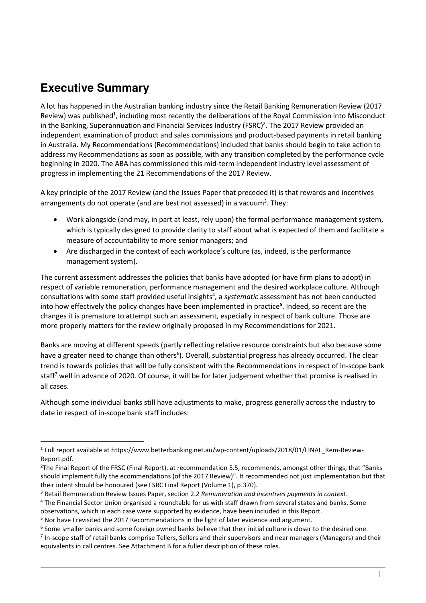# **Executive Summary**

<u>.</u>

A lot has happened in the Australian banking industry since the Retail Banking Remuneration Review (2017 Review) was published<sup>1</sup>, including most recently the deliberations of the Royal Commission into Misconduct in the Banking, Superannuation and Financial Services Industry (FSRC)<sup>2</sup>. The 2017 Review provided an independent examination of product and sales commissions and product-based payments in retail banking in Australia. My Recommendations (Recommendations) included that banks should begin to take action to address my Recommendations as soon as possible, with any transition completed by the performance cycle beginning in 2020. The ABA has commissioned this mid-term independent industry level assessment of progress in implementing the 21 Recommendations of the 2017 Review.

A key principle of the 2017 Review (and the Issues Paper that preceded it) is that rewards and incentives arrangements do not operate (and are best not assessed) in a vacuum<sup>3</sup>. They:

- Work alongside (and may, in part at least, rely upon) the formal performance management system, which is typically designed to provide clarity to staff about what is expected of them and facilitate a measure of accountability to more senior managers; and
- Are discharged in the context of each workplace's culture (as, indeed, is the performance management system).

The current assessment addresses the policies that banks have adopted (or have firm plans to adopt) in respect of variable remuneration, performance management and the desired workplace culture. Although consultations with some staff provided useful insights<sup>4</sup>, a systematic assessment has not been conducted into how effectively the policy changes have been implemented in practice**<sup>5</sup>** . Indeed, so recent are the changes it is premature to attempt such an assessment, especially in respect of bank culture. Those are more properly matters for the review originally proposed in my Recommendations for 2021.

Banks are moving at different speeds (partly reflecting relative resource constraints but also because some have a greater need to change than others<sup>6</sup>). Overall, substantial progress has already occurred. The clear trend is towards policies that will be fully consistent with the Recommendations in respect of in-scope bank staff<sup>7</sup> well in advance of 2020. Of course, it will be for later judgement whether that promise is realised in all cases.

Although some individual banks still have adjustments to make, progress generally across the industry to date in respect of in-scope bank staff includes:

<sup>1</sup> Full report available a[t https://www.betterbanking.net.au/wp-content/uploads/2018/01/FINAL\\_Rem-Review-](https://www.betterbanking.net.au/wp-content/uploads/2018/01/FINAL_Rem-Review-Report.pdf)[Report.pdf.](https://www.betterbanking.net.au/wp-content/uploads/2018/01/FINAL_Rem-Review-Report.pdf)

<sup>&</sup>lt;sup>2</sup>The Final Report of the FRSC (Final Report), at recommendation 5.5, recommends, amongst other things, that "Banks" should implement fully the ecommendations (of the 2017 Review)". It recommended not just implementation but that their intent should be honoured (see FSRC Final Report (Volume 1), p.370).

<sup>3</sup> Retail Remuneration Review Issues Paper, section 2.2 *Remuneration and incentives payments in context*.

<sup>&</sup>lt;sup>4</sup> The Financial Sector Union organised a roundtable for us with staff drawn from several states and banks. Some observations, which in each case were supported by evidence, have been included in this Report.

<sup>&</sup>lt;sup>5</sup> Nor have I revisited the 2017 Recommendations in the light of later evidence and argument.

<sup>&</sup>lt;sup>6</sup> Some smaller banks and some foreign owned banks believe that their initial culture is closer to the desired one.

<sup>&</sup>lt;sup>7</sup> In-scope staff of retail banks comprise Tellers, Sellers and their supervisors and near managers (Managers) and their equivalents in call centres. See Attachment B for a fuller description of these roles.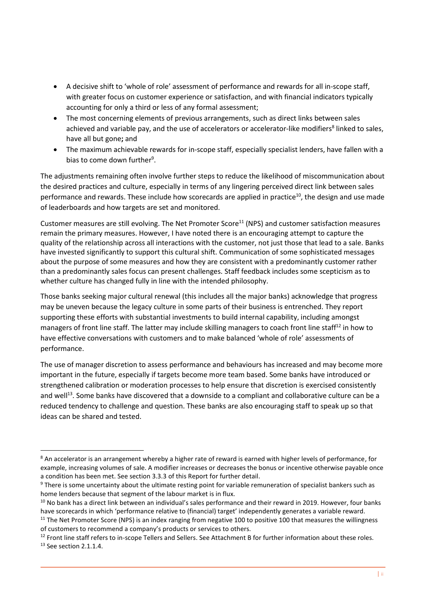- A decisive shift to 'whole of role' assessment of performance and rewards for all in-scope staff, with greater focus on customer experience or satisfaction, and with financial indicators typically accounting for only a third or less of any formal assessment;
- The most concerning elements of previous arrangements, such as direct links between sales achieved and variable pay, and the use of accelerators or accelerator-like modifiers<sup>8</sup> linked to sales, have all but gone**;** and
- The maximum achievable rewards for in-scope staff, especially specialist lenders, have fallen with a bias to come down further<sup>9</sup>.

The adjustments remaining often involve further steps to reduce the likelihood of miscommunication about the desired practices and culture, especially in terms of any lingering perceived direct link between sales performance and rewards. These include how scorecards are applied in practice<sup>10</sup>, the design and use made of leaderboards and how targets are set and monitored.

Customer measures are still evolving. The Net Promoter Score<sup>11</sup> (NPS) and customer satisfaction measures remain the primary measures. However, I have noted there is an encouraging attempt to capture the quality of the relationship across all interactions with the customer, not just those that lead to a sale. Banks have invested significantly to support this cultural shift. Communication of some sophisticated messages about the purpose of some measures and how they are consistent with a predominantly customer rather than a predominantly sales focus can present challenges. Staff feedback includes some scepticism as to whether culture has changed fully in line with the intended philosophy.

Those banks seeking major cultural renewal (this includes all the major banks) acknowledge that progress may be uneven because the legacy culture in some parts of their business is entrenched. They report supporting these efforts with substantial investments to build internal capability, including amongst managers of front line staff. The latter may include skilling managers to coach front line staff<sup>12</sup> in how to have effective conversations with customers and to make balanced 'whole of role' assessments of performance.

The use of manager discretion to assess performance and behaviours has increased and may become more important in the future, especially if targets become more team based. Some banks have introduced or strengthened calibration or moderation processes to help ensure that discretion is exercised consistently and well<sup>13</sup>. Some banks have discovered that a downside to a compliant and collaborative culture can be a reduced tendency to challenge and question. These banks are also encouraging staff to speak up so that ideas can be shared and tested.

-

<sup>&</sup>lt;sup>8</sup> An accelerator is an arrangement whereby a higher rate of reward is earned with higher levels of performance, for example, increasing volumes of sale. A modifier increases or decreases the bonus or incentive otherwise payable once a condition has been met. See section 3.3.3 of this Report for further detail.

<sup>&</sup>lt;sup>9</sup> There is some uncertainty about the ultimate resting point for variable remuneration of specialist bankers such as home lenders because that segment of the labour market is in flux.

<sup>&</sup>lt;sup>10</sup> No bank has a direct link between an individual's sales performance and their reward in 2019. However, four banks have scorecards in which 'performance relative to (financial) target' independently generates a variable reward.

<sup>&</sup>lt;sup>11</sup> The Net Promoter Score (NPS) is an index ranging from negative 100 to positive 100 that measures the willingness of customers to recommend a company's products or services to others.

<sup>&</sup>lt;sup>12</sup> Front line staff refers to in-scope Tellers and Sellers. See Attachment B for further information about these roles. 13 See section 2.1.1.4.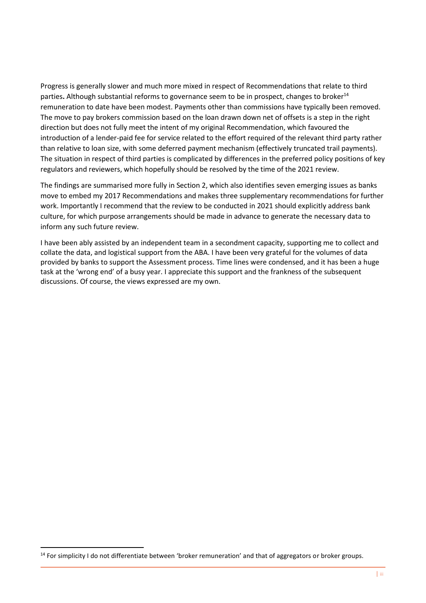Progress is generally slower and much more mixed in respect of Recommendations that relate to third parties. Although substantial reforms to governance seem to be in prospect, changes to broker<sup>14</sup> remuneration to date have been modest. Payments other than commissions have typically been removed. The move to pay brokers commission based on the loan drawn down net of offsets is a step in the right direction but does not fully meet the intent of my original Recommendation, which favoured the introduction of a lender-paid fee for service related to the effort required of the relevant third party rather than relative to loan size, with some deferred payment mechanism (effectively truncated trail payments). The situation in respect of third parties is complicated by differences in the preferred policy positions of key regulators and reviewers, which hopefully should be resolved by the time of the 2021 review.

The findings are summarised more fully in Section 2, which also identifies seven emerging issues as banks move to embed my 2017 Recommendations and makes three supplementary recommendations for further work. Importantly I recommend that the review to be conducted in 2021 should explicitly address bank culture, for which purpose arrangements should be made in advance to generate the necessary data to inform any such future review.

I have been ably assisted by an independent team in a secondment capacity, supporting me to collect and collate the data, and logistical support from the ABA. I have been very grateful for the volumes of data provided by banks to support the Assessment process. Time lines were condensed, and it has been a huge task at the 'wrong end' of a busy year. I appreciate this support and the frankness of the subsequent discussions. Of course, the views expressed are my own.

.<br>-

<sup>&</sup>lt;sup>14</sup> For simplicity I do not differentiate between 'broker remuneration' and that of aggregators or broker groups.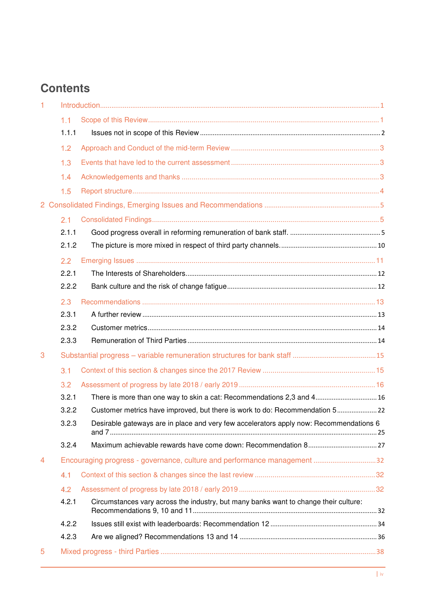# **Contents**

| -1             |       |                                                                                        |  |
|----------------|-------|----------------------------------------------------------------------------------------|--|
|                | 1.1   |                                                                                        |  |
|                | 1.1.1 |                                                                                        |  |
|                | 1.2   |                                                                                        |  |
|                | 1.3   |                                                                                        |  |
|                | 1.4   |                                                                                        |  |
|                | 1.5   |                                                                                        |  |
|                |       |                                                                                        |  |
|                | 2.1   |                                                                                        |  |
|                | 2.1.1 |                                                                                        |  |
|                | 2.1.2 |                                                                                        |  |
|                | 2.2   |                                                                                        |  |
|                | 2.2.1 |                                                                                        |  |
|                | 2.2.2 |                                                                                        |  |
|                | 2.3   |                                                                                        |  |
|                | 2.3.1 |                                                                                        |  |
|                | 2.3.2 |                                                                                        |  |
|                | 2.3.3 |                                                                                        |  |
| 3              |       |                                                                                        |  |
|                | 3.1   |                                                                                        |  |
|                | 3.2   |                                                                                        |  |
|                | 3.2.1 | There is more than one way to skin a cat: Recommendations 2,3 and 4 16                 |  |
|                | 3.2.2 | Customer metrics have improved, but there is work to do: Recommendation 5 22           |  |
|                | 3.2.3 | Desirable gateways are in place and very few accelerators apply now: Recommendations 6 |  |
|                | 3.2.4 |                                                                                        |  |
| $\overline{4}$ |       | Encouraging progress - governance, culture and performance management 32               |  |
|                | 4.1   |                                                                                        |  |
|                | 4.2   |                                                                                        |  |
|                | 4.2.1 | Circumstances vary across the industry, but many banks want to change their culture:   |  |
|                | 4.2.2 |                                                                                        |  |
|                | 4.2.3 |                                                                                        |  |
| 5              |       |                                                                                        |  |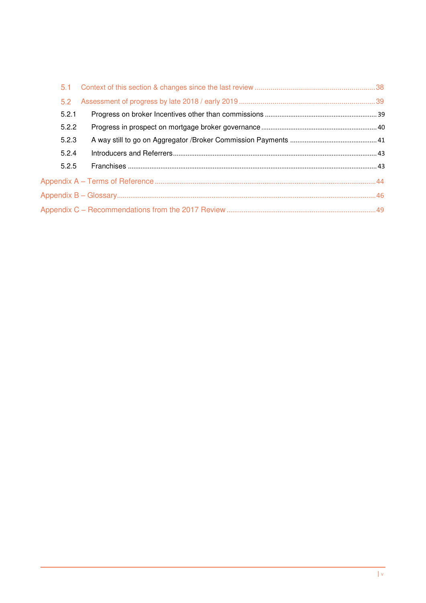| 5.1   |  |
|-------|--|
| 5.2   |  |
| 5.2.1 |  |
| 5.2.2 |  |
| 5.2.3 |  |
| 5.2.4 |  |
| 5.2.5 |  |
|       |  |
|       |  |
|       |  |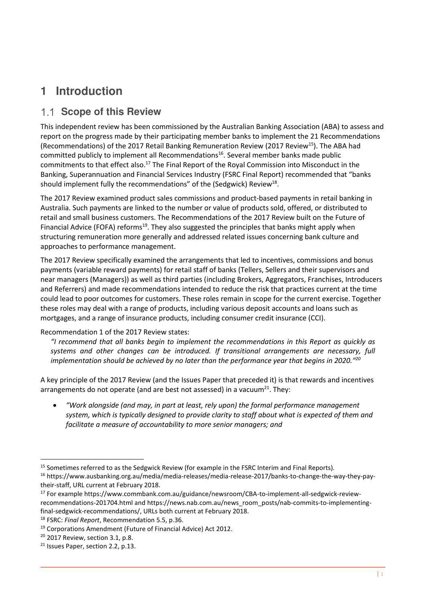# <span id="page-6-0"></span>**1 Introduction**

# <span id="page-6-1"></span>**1.1 Scope of this Review**

This independent review has been commissioned by the Australian Banking Association (ABA) to assess and report on the progress made by their participating member banks to implement the 21 Recommendations (Recommendations) of the 2017 Retail Banking Remuneration Review (2017 Review<sup>15</sup>). The ABA had committed publicly to implement all Recommendations<sup>16</sup>. Several member banks made public commitments to that effect also.<sup>17</sup> The Final Report of the Royal Commission into Misconduct in the Banking, Superannuation and Financial Services Industry (FSRC Final Report) recommended that "banks should implement fully the recommendations" of the (Sedgwick) Review<sup>18</sup>.

The 2017 Review examined product sales commissions and product-based payments in retail banking in Australia. Such payments are linked to the number or value of products sold, offered, or distributed to retail and small business customers. The Recommendations of the 2017 Review built on the Future of Financial Advice (FOFA) reforms<sup>19</sup>. They also suggested the principles that banks might apply when structuring remuneration more generally and addressed related issues concerning bank culture and approaches to performance management.

The 2017 Review specifically examined the arrangements that led to incentives, commissions and bonus payments (variable reward payments) for retail staff of banks (Tellers, Sellers and their supervisors and near managers (Managers)) as well as third parties (including Brokers, Aggregators, Franchises, Introducers and Referrers) and made recommendations intended to reduce the risk that practices current at the time could lead to poor outcomes for customers. These roles remain in scope for the current exercise. Together these roles may deal with a range of products, including various deposit accounts and loans such as mortgages, and a range of insurance products, including consumer credit insurance (CCI).

#### Recommendation 1 of the 2017 Review states:

*"I recommend that all banks begin to implement the recommendations in this Report as quickly as systems and other changes can be introduced. If transitional arrangements are necessary, full implementation should be achieved by no later than the performance year that begins in 2020." 20*

A key principle of the 2017 Review (and the Issues Paper that preceded it) is that rewards and incentives arrangements do not operate (and are best not assessed) in a vacuum<sup>21</sup>. They:

• *"Work alongside (and may, in part at least, rely upon) the formal performance management system, which is typically designed to provide clarity to staff about what is expected of them and facilitate a measure of accountability to more senior managers; and* 

<sup>&</sup>lt;sup>15</sup> Sometimes referred to as the Sedgwick Review (for example in the FSRC Interim and Final Reports).

<sup>16</sup> [https://www.ausbanking.org.au/media/media-releases/media-release-2017/banks-to-change-the-way-they-pay](https://www.ausbanking.org.au/media/media-releases/media-release-2017/banks-to-change-the-way-they-pay-their-staff)[their-staff,](https://www.ausbanking.org.au/media/media-releases/media-release-2017/banks-to-change-the-way-they-pay-their-staff) URL current at February 2018.

<sup>17</sup> For example [https://www.commbank.com.au/guidance/newsroom/CBA-to-implement-all-sedgwick-review](https://www.commbank.com.au/guidance/newsroom/CBA-to-implement-all-sedgwick-review-recommendations-201704.html)[recommendations-201704.html](https://www.commbank.com.au/guidance/newsroom/CBA-to-implement-all-sedgwick-review-recommendations-201704.html) an[d https://news.nab.com.au/news\\_room\\_posts/nab-commits-to-implementing](https://news.nab.com.au/news_room_posts/nab-commits-to-implementing-final-sedgwick-recommendations/)[final-sedgwick-recommendations/,](https://news.nab.com.au/news_room_posts/nab-commits-to-implementing-final-sedgwick-recommendations/) URLs both current at February 2018.

<sup>18</sup> FSRC: *Final Report*, Recommendation 5.5, p.36.

<sup>19</sup> Corporations Amendment (Future of Financial Advice) Act 2012.

<sup>20</sup> 2017 Review, section 3.1, p.8.

<sup>&</sup>lt;sup>21</sup> Issues Paper, section 2.2, p.13.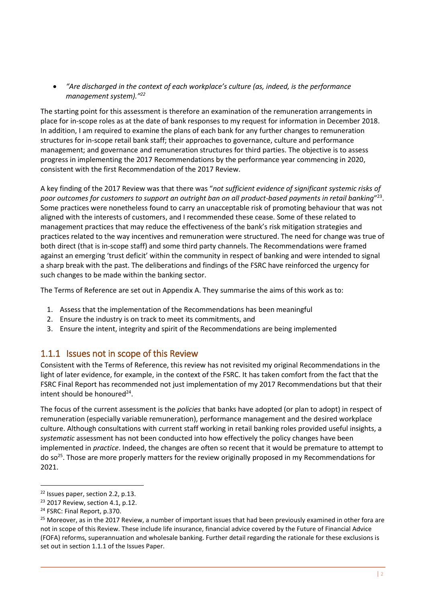• *"Are discharged in the context of each workplace's culture (as, indeed, is the performance management system)." 22*

The starting point for this assessment is therefore an examination of the remuneration arrangements in place for in-scope roles as at the date of bank responses to my request for information in December 2018. In addition, I am required to examine the plans of each bank for any further changes to remuneration structures for in-scope retail bank staff; their approaches to governance, culture and performance management; and governance and remuneration structures for third parties. The objective is to assess progress in implementing the 2017 Recommendations by the performance year commencing in 2020, consistent with the first Recommendation of the 2017 Review.

A key finding of the 2017 Review was that there was "*not sufficient evidence of significant systemic risks of*  poor outcomes for customers to support an outright ban on all product-based payments in retail banking"<sup>23</sup>. Some practices were nonetheless found to carry an unacceptable risk of promoting behaviour that was not aligned with the interests of customers, and I recommended these cease. Some of these related to management practices that may reduce the effectiveness of the bank's risk mitigation strategies and practices related to the way incentives and remuneration were structured. The need for change was true of both direct (that is in-scope staff) and some third party channels. The Recommendations were framed against an emerging 'trust deficit' within the community in respect of banking and were intended to signal a sharp break with the past. The deliberations and findings of the FSRC have reinforced the urgency for such changes to be made within the banking sector.

The Terms of Reference are set out in Appendix A. They summarise the aims of this work as to:

- 1. Assess that the implementation of the Recommendations has been meaningful
- 2. Ensure the industry is on track to meet its commitments, and
- 3. Ensure the intent, integrity and spirit of the Recommendations are being implemented

### <span id="page-7-0"></span>1.1.1 Issues not in scope of this Review

Consistent with the Terms of Reference, this review has not revisited my original Recommendations in the light of later evidence, for example, in the context of the FSRC. It has taken comfort from the fact that the FSRC Final Report has recommended not just implementation of my 2017 Recommendations but that their intent should be honoured<sup>24</sup>.

The focus of the current assessment is the *policies* that banks have adopted (or plan to adopt) in respect of remuneration (especially variable remuneration), performance management and the desired workplace culture. Although consultations with current staff working in retail banking roles provided useful insights, a *systematic* assessment has not been conducted into how effectively the policy changes have been implemented in *practice*. Indeed, the changes are often so recent that it would be premature to attempt to do so<sup>25</sup>. Those are more properly matters for the review originally proposed in my Recommendations for 2021.

<sup>22</sup> Issues paper, section 2.2, p.13.

<sup>23</sup> 2017 Review, section 4.1, p.12.

<sup>24</sup> FSRC: Final Report, p.370.

<sup>&</sup>lt;sup>25</sup> Moreover, as in the 2017 Review, a number of important issues that had been previously examined in other fora are not in scope of this Review. These include life insurance, financial advice covered by the Future of Financial Advice (FOFA) reforms, superannuation and wholesale banking. Further detail regarding the rationale for these exclusions is set out in section 1.1.1 of the Issues Paper.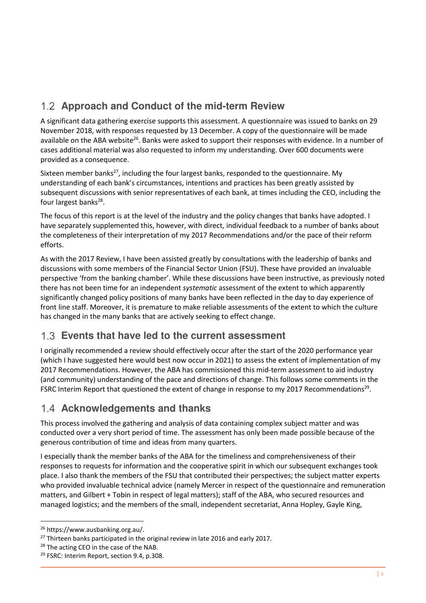# <span id="page-8-0"></span>**Approach and Conduct of the mid-term Review**

A significant data gathering exercise supports this assessment. A questionnaire was issued to banks on 29 November 2018, with responses requested by 13 December. A copy of the questionnaire will be made available on the ABA website<sup>26</sup>. Banks were asked to support their responses with evidence. In a number of cases additional material was also requested to inform my understanding. Over 600 documents were provided as a consequence.

Sixteen member banks $^{27}$ , including the four largest banks, responded to the questionnaire. My understanding of each bank's circumstances, intentions and practices has been greatly assisted by subsequent discussions with senior representatives of each bank, at times including the CEO, including the four largest banks<sup>28</sup>.

The focus of this report is at the level of the industry and the policy changes that banks have adopted. I have separately supplemented this, however, with direct, individual feedback to a number of banks about the completeness of their interpretation of my 2017 Recommendations and/or the pace of their reform efforts.

As with the 2017 Review, I have been assisted greatly by consultations with the leadership of banks and discussions with some members of the Financial Sector Union (FSU). These have provided an invaluable perspective 'from the banking chamber'. While these discussions have been instructive, as previously noted there has not been time for an independent *systematic* assessment of the extent to which apparently significantly changed policy positions of many banks have been reflected in the day to day experience of front line staff. Moreover, it is premature to make reliable assessments of the extent to which the culture has changed in the many banks that are actively seeking to effect change.

# <span id="page-8-1"></span>**Events that have led to the current assessment**

I originally recommended a review should effectively occur after the start of the 2020 performance year (which I have suggested here would best now occur in 2021) to assess the extent of implementation of my 2017 Recommendations. However, the ABA has commissioned this mid-term assessment to aid industry (and community) understanding of the pace and directions of change. This follows some comments in the FSRC Interim Report that questioned the extent of change in response to my 2017 Recommendations<sup>29</sup>.

# <span id="page-8-2"></span>**Acknowledgements and thanks**

This process involved the gathering and analysis of data containing complex subject matter and was conducted over a very short period of time. The assessment has only been made possible because of the generous contribution of time and ideas from many quarters.

I especially thank the member banks of the ABA for the timeliness and comprehensiveness of their responses to requests for information and the cooperative spirit in which our subsequent exchanges took place. I also thank the members of the FSU that contributed their perspectives; the subject matter experts who provided invaluable technical advice (namely Mercer in respect of the questionnaire and remuneration matters, and Gilbert + Tobin in respect of legal matters); staff of the ABA, who secured resources and managed logistics; and the members of the small, independent secretariat, Anna Hopley, Gayle King,

<sup>26</sup> https://www.ausbanking.org.au/.

<sup>&</sup>lt;sup>27</sup> Thirteen banks participated in the original review in late 2016 and early 2017.

<sup>&</sup>lt;sup>28</sup> The acting CEO in the case of the NAB.

<sup>&</sup>lt;sup>29</sup> FSRC: Interim Report, section 9.4, p.308.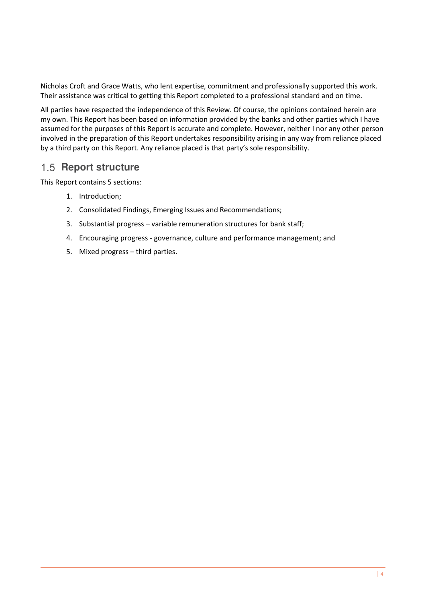Nicholas Croft and Grace Watts, who lent expertise, commitment and professionally supported this work. Their assistance was critical to getting this Report completed to a professional standard and on time.

All parties have respected the independence of this Review. Of course, the opinions contained herein are my own. This Report has been based on information provided by the banks and other parties which I have assumed for the purposes of this Report is accurate and complete. However, neither I nor any other person involved in the preparation of this Report undertakes responsibility arising in any way from reliance placed by a third party on this Report. Any reliance placed is that party's sole responsibility.

# <span id="page-9-0"></span>1.5 **Report structure**

This Report contains 5 sections:

- 1. Introduction;
- 2. Consolidated Findings, Emerging Issues and Recommendations;
- 3. Substantial progress variable remuneration structures for bank staff;
- 4. Encouraging progress governance, culture and performance management; and
- 5. Mixed progress third parties.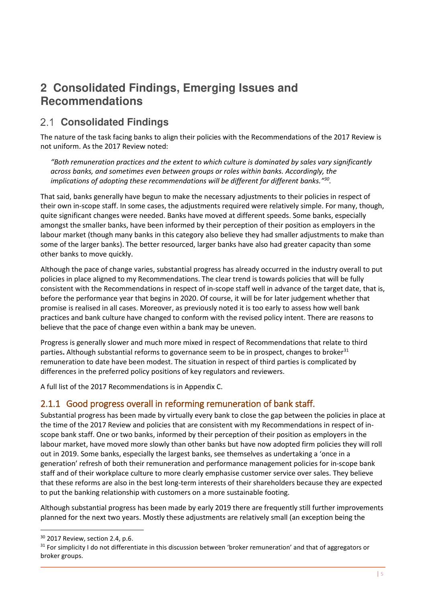# <span id="page-10-0"></span>**2 Consolidated Findings, Emerging Issues and Recommendations**

# <span id="page-10-1"></span>**Consolidated Findings**

The nature of the task facing banks to align their policies with the Recommendations of the 2017 Review is not uniform. As the 2017 Review noted:

*"Both remuneration practices and the extent to which culture is dominated by sales vary significantly across banks, and sometimes even between groups or roles within banks. Accordingly, the implications of adopting these recommendations will be different for different banks." 30 .* 

That said, banks generally have begun to make the necessary adjustments to their policies in respect of their own in-scope staff. In some cases, the adjustments required were relatively simple. For many, though, quite significant changes were needed. Banks have moved at different speeds. Some banks, especially amongst the smaller banks, have been informed by their perception of their position as employers in the labour market (though many banks in this category also believe they had smaller adjustments to make than some of the larger banks). The better resourced, larger banks have also had greater capacity than some other banks to move quickly.

Although the pace of change varies, substantial progress has already occurred in the industry overall to put policies in place aligned to my Recommendations. The clear trend is towards policies that will be fully consistent with the Recommendations in respect of in-scope staff well in advance of the target date, that is, before the performance year that begins in 2020. Of course, it will be for later judgement whether that promise is realised in all cases. Moreover, as previously noted it is too early to assess how well bank practices and bank culture have changed to conform with the revised policy intent. There are reasons to believe that the pace of change even within a bank may be uneven.

Progress is generally slower and much more mixed in respect of Recommendations that relate to third parties. Although substantial reforms to governance seem to be in prospect, changes to broker<sup>31</sup> remuneration to date have been modest. The situation in respect of third parties is complicated by differences in the preferred policy positions of key regulators and reviewers.

A full list of the 2017 Recommendations is in Appendix C.

# <span id="page-10-2"></span>2.1.1 Good progress overall in reforming remuneration of bank staff.

Substantial progress has been made by virtually every bank to close the gap between the policies in place at the time of the 2017 Review and policies that are consistent with my Recommendations in respect of inscope bank staff. One or two banks, informed by their perception of their position as employers in the labour market, have moved more slowly than other banks but have now adopted firm policies they will roll out in 2019. Some banks, especially the largest banks, see themselves as undertaking a 'once in a generation' refresh of both their remuneration and performance management policies for in-scope bank staff and of their workplace culture to more clearly emphasise customer service over sales. They believe that these reforms are also in the best long-term interests of their shareholders because they are expected to put the banking relationship with customers on a more sustainable footing.

Although substantial progress has been made by early 2019 there are frequently still further improvements planned for the next two years. Mostly these adjustments are relatively small (an exception being the

<sup>30</sup> 2017 Review, section 2.4, p.6.

<sup>&</sup>lt;sup>31</sup> For simplicity I do not differentiate in this discussion between 'broker remuneration' and that of aggregators or broker groups.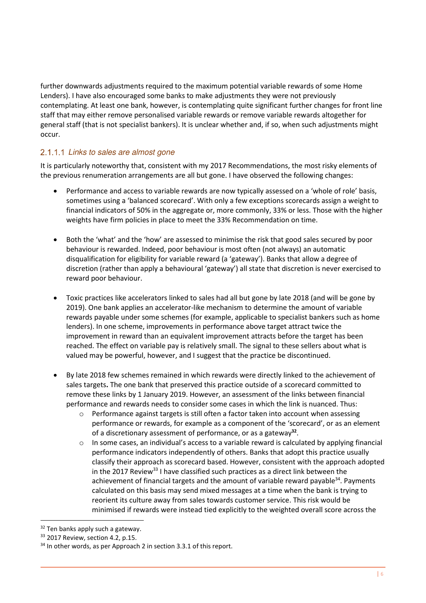further downwards adjustments required to the maximum potential variable rewards of some Home Lenders). I have also encouraged some banks to make adjustments they were not previously contemplating. At least one bank, however, is contemplating quite significant further changes for front line staff that may either remove personalised variable rewards or remove variable rewards altogether for general staff (that is not specialist bankers). It is unclear whether and, if so, when such adjustments might occur.

### 2.1.1.1 Links to sales are almost gone

It is particularly noteworthy that, consistent with my 2017 Recommendations, the most risky elements of the previous renumeration arrangements are all but gone. I have observed the following changes:

- Performance and access to variable rewards are now typically assessed on a 'whole of role' basis, sometimes using a 'balanced scorecard'. With only a few exceptions scorecards assign a weight to financial indicators of 50% in the aggregate or, more commonly, 33% or less. Those with the higher weights have firm policies in place to meet the 33% Recommendation on time.
- Both the 'what' and the 'how' are assessed to minimise the risk that good sales secured by poor behaviour is rewarded. Indeed, poor behaviour is most often (not always) an automatic disqualification for eligibility for variable reward (a 'gateway'). Banks that allow a degree of discretion (rather than apply a behavioural 'gateway') all state that discretion is never exercised to reward poor behaviour.
- Toxic practices like accelerators linked to sales had all but gone by late 2018 (and will be gone by 2019). One bank applies an accelerator-like mechanism to determine the amount of variable rewards payable under some schemes (for example, applicable to specialist bankers such as home lenders). In one scheme, improvements in performance above target attract twice the improvement in reward than an equivalent improvement attracts before the target has been reached. The effect on variable pay is relatively small. The signal to these sellers about what is valued may be powerful, however, and I suggest that the practice be discontinued.
- By late 2018 few schemes remained in which rewards were directly linked to the achievement of sales targets**.** The one bank that preserved this practice outside of a scorecard committed to remove these links by 1 January 2019. However, an assessment of the links between financial performance and rewards needs to consider some cases in which the link is nuanced. Thus:
	- $\circ$  Performance against targets is still often a factor taken into account when assessing performance or rewards, for example as a component of the 'scorecard', or as an element of a discretionary assessment of performance, or as a gateway**<sup>32</sup>** .
	- $\circ$  In some cases, an individual's access to a variable reward is calculated by applying financial performance indicators independently of others. Banks that adopt this practice usually classify their approach as scorecard based. However, consistent with the approach adopted in the 2017 Review<sup>33</sup> I have classified such practices as a direct link between the achievement of financial targets and the amount of variable reward payable<sup>34</sup>. Payments calculated on this basis may send mixed messages at a time when the bank is trying to reorient its culture away from sales towards customer service. This risk would be minimised if rewards were instead tied explicitly to the weighted overall score across the

<sup>&</sup>lt;sup>32</sup> Ten banks apply such a gateway.

<sup>33</sup> 2017 Review, section 4.2, p.15.

 $34$  In other words, as per Approach 2 in section 3.3.1 of this report.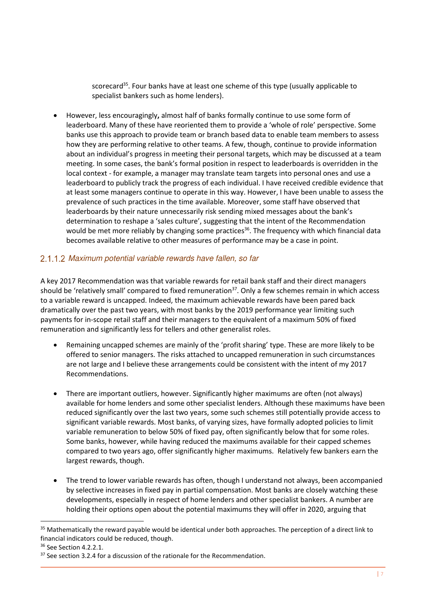scorecard<sup>35</sup>. Four banks have at least one scheme of this type (usually applicable to specialist bankers such as home lenders).

• However, less encouragingly**,** almost half of banks formally continue to use some form of leaderboard. Many of these have reoriented them to provide a 'whole of role' perspective. Some banks use this approach to provide team or branch based data to enable team members to assess how they are performing relative to other teams. A few, though, continue to provide information about an individual's progress in meeting their personal targets, which may be discussed at a team meeting. In some cases, the bank's formal position in respect to leaderboards is overridden in the local context - for example, a manager may translate team targets into personal ones and use a leaderboard to publicly track the progress of each individual. I have received credible evidence that at least some managers continue to operate in this way. However, I have been unable to assess the prevalence of such practices in the time available. Moreover, some staff have observed that leaderboards by their nature unnecessarily risk sending mixed messages about the bank's determination to reshape a 'sales culture', suggesting that the intent of the Recommendation would be met more reliably by changing some practices<sup>36</sup>. The frequency with which financial data becomes available relative to other measures of performance may be a case in point.

#### 2.1.1.2 Maximum potential variable rewards have fallen, so far

A key 2017 Recommendation was that variable rewards for retail bank staff and their direct managers should be 'relatively small' compared to fixed remuneration<sup>37</sup>. Only a few schemes remain in which access to a variable reward is uncapped. Indeed, the maximum achievable rewards have been pared back dramatically over the past two years, with most banks by the 2019 performance year limiting such payments for in-scope retail staff and their managers to the equivalent of a maximum 50% of fixed remuneration and significantly less for tellers and other generalist roles.

- Remaining uncapped schemes are mainly of the 'profit sharing' type. These are more likely to be offered to senior managers. The risks attached to uncapped remuneration in such circumstances are not large and I believe these arrangements could be consistent with the intent of my 2017 Recommendations.
- There are important outliers, however. Significantly higher maximums are often (not always) available for home lenders and some other specialist lenders. Although these maximums have been reduced significantly over the last two years, some such schemes still potentially provide access to significant variable rewards. Most banks, of varying sizes, have formally adopted policies to limit variable remuneration to below 50% of fixed pay, often significantly below that for some roles. Some banks, however, while having reduced the maximums available for their capped schemes compared to two years ago, offer significantly higher maximums. Relatively few bankers earn the largest rewards, though.
- The trend to lower variable rewards has often, though I understand not always, been accompanied by selective increases in fixed pay in partial compensation. Most banks are closely watching these developments, especially in respect of home lenders and other specialist bankers. A number are holding their options open about the potential maximums they will offer in 2020, arguing that

<sup>&</sup>lt;sup>35</sup> Mathematically the reward payable would be identical under both approaches. The perception of a direct link to financial indicators could be reduced, though.

<sup>36</sup> See Section 4.2.2.1.

 $37$  See section 3.2.4 for a discussion of the rationale for the Recommendation.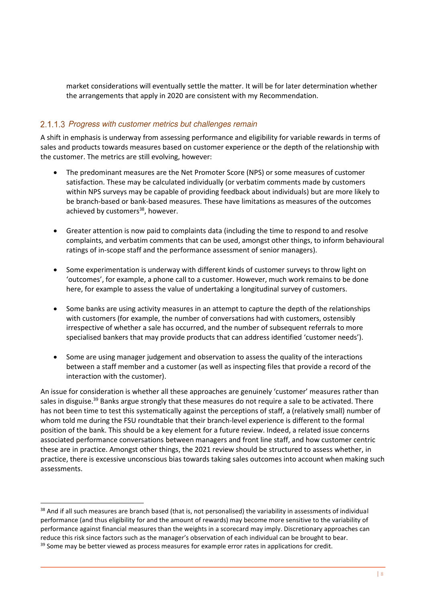market considerations will eventually settle the matter. It will be for later determination whether the arrangements that apply in 2020 are consistent with my Recommendation.

#### 2.1.1.3 Progress with customer metrics but challenges remain

A shift in emphasis is underway from assessing performance and eligibility for variable rewards in terms of sales and products towards measures based on customer experience or the depth of the relationship with the customer. The metrics are still evolving, however:

- The predominant measures are the Net Promoter Score (NPS) or some measures of customer satisfaction. These may be calculated individually (or verbatim comments made by customers within NPS surveys may be capable of providing feedback about individuals) but are more likely to be branch-based or bank-based measures. These have limitations as measures of the outcomes achieved by customers<sup>38</sup>, however.
- Greater attention is now paid to complaints data (including the time to respond to and resolve complaints, and verbatim comments that can be used, amongst other things, to inform behavioural ratings of in-scope staff and the performance assessment of senior managers).
- Some experimentation is underway with different kinds of customer surveys to throw light on 'outcomes', for example, a phone call to a customer. However, much work remains to be done here, for example to assess the value of undertaking a longitudinal survey of customers.
- Some banks are using activity measures in an attempt to capture the depth of the relationships with customers (for example, the number of conversations had with customers, ostensibly irrespective of whether a sale has occurred, and the number of subsequent referrals to more specialised bankers that may provide products that can address identified 'customer needs').
- Some are using manager judgement and observation to assess the quality of the interactions between a staff member and a customer (as well as inspecting files that provide a record of the interaction with the customer).

An issue for consideration is whether all these approaches are genuinely 'customer' measures rather than sales in disguise.<sup>39</sup> Banks argue strongly that these measures do not require a sale to be activated. There has not been time to test this systematically against the perceptions of staff, a (relatively small) number of whom told me during the FSU roundtable that their branch-level experience is different to the formal position of the bank. This should be a key element for a future review. Indeed, a related issue concerns associated performance conversations between managers and front line staff, and how customer centric these are in practice. Amongst other things, the 2021 review should be structured to assess whether, in practice, there is excessive unconscious bias towards taking sales outcomes into account when making such assessments.

<sup>38</sup> And if all such measures are branch based (that is, not personalised) the variability in assessments of individual performance (and thus eligibility for and the amount of rewards) may become more sensitive to the variability of performance against financial measures than the weights in a scorecard may imply. Discretionary approaches can reduce this risk since factors such as the manager's observation of each individual can be brought to bear.  $39$  Some may be better viewed as process measures for example error rates in applications for credit.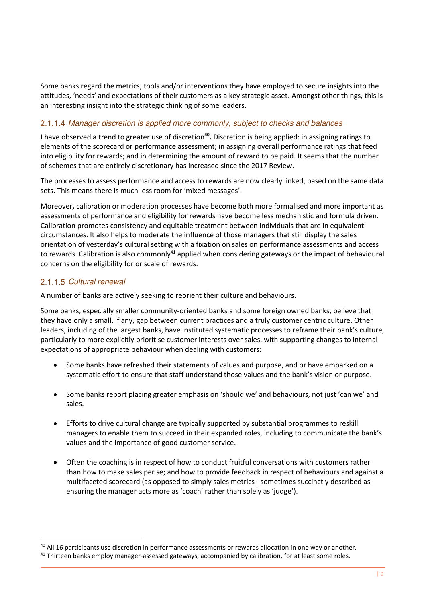Some banks regard the metrics, tools and/or interventions they have employed to secure insights into the attitudes, 'needs' and expectations of their customers as a key strategic asset. Amongst other things, this is an interesting insight into the strategic thinking of some leaders.

#### 2.1.1.4 Manager discretion is applied more commonly, subject to checks and balances

I have observed a trend to greater use of discretion<sup>40</sup>. Discretion is being applied: in assigning ratings to elements of the scorecard or performance assessment; in assigning overall performance ratings that feed into eligibility for rewards; and in determining the amount of reward to be paid. It seems that the number of schemes that are entirely discretionary has increased since the 2017 Review.

The processes to assess performance and access to rewards are now clearly linked, based on the same data sets. This means there is much less room for 'mixed messages'.

Moreover**,** calibration or moderation processes have become both more formalised and more important as assessments of performance and eligibility for rewards have become less mechanistic and formula driven. Calibration promotes consistency and equitable treatment between individuals that are in equivalent circumstances. It also helps to moderate the influence of those managers that still display the sales orientation of yesterday's cultural setting with a fixation on sales on performance assessments and access to rewards. Calibration is also commonly<sup>41</sup> applied when considering gateways or the impact of behavioural concerns on the eligibility for or scale of rewards.

#### 2.1.1.5 Cultural renewal

-

A number of banks are actively seeking to reorient their culture and behaviours.

Some banks, especially smaller community-oriented banks and some foreign owned banks, believe that they have only a small, if any, gap between current practices and a truly customer centric culture. Other leaders, including of the largest banks, have instituted systematic processes to reframe their bank's culture, particularly to more explicitly prioritise customer interests over sales, with supporting changes to internal expectations of appropriate behaviour when dealing with customers:

- Some banks have refreshed their statements of values and purpose, and or have embarked on a systematic effort to ensure that staff understand those values and the bank's vision or purpose.
- Some banks report placing greater emphasis on 'should we' and behaviours, not just 'can we' and sales.
- Efforts to drive cultural change are typically supported by substantial programmes to reskill managers to enable them to succeed in their expanded roles, including to communicate the bank's values and the importance of good customer service.
- Often the coaching is in respect of how to conduct fruitful conversations with customers rather than how to make sales per se; and how to provide feedback in respect of behaviours and against a multifaceted scorecard (as opposed to simply sales metrics - sometimes succinctly described as ensuring the manager acts more as 'coach' rather than solely as 'judge').

<sup>40</sup> All 16 participants use discretion in performance assessments or rewards allocation in one way or another.

<sup>&</sup>lt;sup>41</sup> Thirteen banks employ manager-assessed gateways, accompanied by calibration, for at least some roles.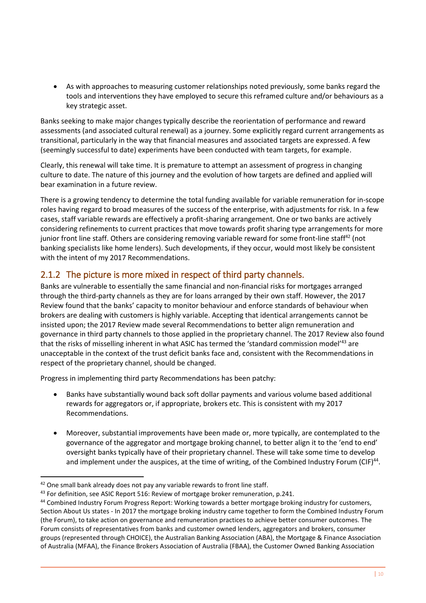• As with approaches to measuring customer relationships noted previously, some banks regard the tools and interventions they have employed to secure this reframed culture and/or behaviours as a key strategic asset.

Banks seeking to make major changes typically describe the reorientation of performance and reward assessments (and associated cultural renewal) as a journey. Some explicitly regard current arrangements as transitional, particularly in the way that financial measures and associated targets are expressed. A few (seemingly successful to date) experiments have been conducted with team targets, for example.

Clearly, this renewal will take time. It is premature to attempt an assessment of progress in changing culture to date. The nature of this journey and the evolution of how targets are defined and applied will bear examination in a future review.

There is a growing tendency to determine the total funding available for variable remuneration for in-scope roles having regard to broad measures of the success of the enterprise, with adjustments for risk. In a few cases, staff variable rewards are effectively a profit-sharing arrangement. One or two banks are actively considering refinements to current practices that move towards profit sharing type arrangements for more junior front line staff. Others are considering removing variable reward for some front-line staff<sup>42</sup> (not banking specialists like home lenders). Such developments, if they occur, would most likely be consistent with the intent of my 2017 Recommendations.

# <span id="page-15-0"></span>2.1.2 The picture is more mixed in respect of third party channels.

Banks are vulnerable to essentially the same financial and non-financial risks for mortgages arranged through the third-party channels as they are for loans arranged by their own staff. However, the 2017 Review found that the banks' capacity to monitor behaviour and enforce standards of behaviour when brokers are dealing with customers is highly variable. Accepting that identical arrangements cannot be insisted upon; the 2017 Review made several Recommendations to better align remuneration and governance in third party channels to those applied in the proprietary channel. The 2017 Review also found that the risks of misselling inherent in what ASIC has termed the 'standard commission model'<sup>43</sup> are unacceptable in the context of the trust deficit banks face and, consistent with the Recommendations in respect of the proprietary channel, should be changed.

Progress in implementing third party Recommendations has been patchy:

- Banks have substantially wound back soft dollar payments and various volume based additional rewards for aggregators or, if appropriate, brokers etc. This is consistent with my 2017 Recommendations.
- Moreover, substantial improvements have been made or, more typically, are contemplated to the governance of the aggregator and mortgage broking channel, to better align it to the 'end to end' oversight banks typically have of their proprietary channel. These will take some time to develop and implement under the auspices, at the time of writing, of the Combined Industry Forum (CIF)<sup>44</sup>.

 $42$  One small bank already does not pay any variable rewards to front line staff.

<sup>43</sup> For definition, see ASIC Report 516: Review of mortgage broker remuneration, p.241.

<sup>44</sup> Combined Industry Forum Progress Report: Working towards a better mortgage broking industry for customers, Section About Us states - In 2017 the mortgage broking industry came together to form the Combined Industry Forum (the Forum), to take action on governance and remuneration practices to achieve better consumer outcomes. The Forum consists of representatives from banks and customer owned lenders, aggregators and brokers, consumer groups (represented through CHOICE), the Australian Banking Association (ABA), the Mortgage & Finance Association of Australia (MFAA), the Finance Brokers Association of Australia (FBAA), the Customer Owned Banking Association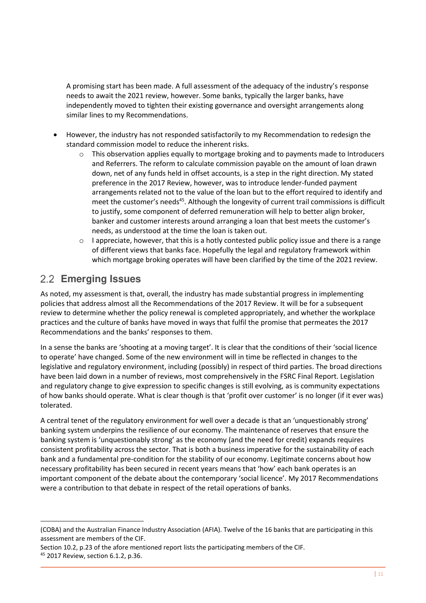A promising start has been made. A full assessment of the adequacy of the industry's response needs to await the 2021 review, however. Some banks, typically the larger banks, have independently moved to tighten their existing governance and oversight arrangements along similar lines to my Recommendations.

- However, the industry has not responded satisfactorily to my Recommendation to redesign the standard commission model to reduce the inherent risks.
	- $\circ$  This observation applies equally to mortgage broking and to payments made to Introducers and Referrers. The reform to calculate commission payable on the amount of loan drawn down, net of any funds held in offset accounts, is a step in the right direction. My stated preference in the 2017 Review, however, was to introduce lender-funded payment arrangements related not to the value of the loan but to the effort required to identify and meet the customer's needs<sup>45</sup>. Although the longevity of current trail commissions is difficult to justify, some component of deferred remuneration will help to better align broker, banker and customer interests around arranging a loan that best meets the customer's needs, as understood at the time the loan is taken out.
	- $\circ$  I appreciate, however, that this is a hotly contested public policy issue and there is a range of different views that banks face. Hopefully the legal and regulatory framework within which mortgage broking operates will have been clarified by the time of the 2021 review.

# <span id="page-16-0"></span>**Emerging Issues**

As noted, my assessment is that, overall, the industry has made substantial progress in implementing policies that address almost all the Recommendations of the 2017 Review. It will be for a subsequent review to determine whether the policy renewal is completed appropriately, and whether the workplace practices and the culture of banks have moved in ways that fulfil the promise that permeates the 2017 Recommendations and the banks' responses to them.

In a sense the banks are 'shooting at a moving target'. It is clear that the conditions of their 'social licence to operate' have changed. Some of the new environment will in time be reflected in changes to the legislative and regulatory environment, including (possibly) in respect of third parties. The broad directions have been laid down in a number of reviews, most comprehensively in the FSRC Final Report. Legislation and regulatory change to give expression to specific changes is still evolving, as is community expectations of how banks should operate. What is clear though is that 'profit over customer' is no longer (if it ever was) tolerated.

A central tenet of the regulatory environment for well over a decade is that an 'unquestionably strong' banking system underpins the resilience of our economy. The maintenance of reserves that ensure the banking system is 'unquestionably strong' as the economy (and the need for credit) expands requires consistent profitability across the sector. That is both a business imperative for the sustainability of each bank and a fundamental pre-condition for the stability of our economy. Legitimate concerns about how necessary profitability has been secured in recent years means that 'how' each bank operates is an important component of the debate about the contemporary 'social licence'. My 2017 Recommendations were a contribution to that debate in respect of the retail operations of banks.

<sup>(</sup>COBA) and the Australian Finance Industry Association (AFIA). Twelve of the 16 banks that are participating in this assessment are members of the CIF.

Section 10.2, p.23 of the afore mentioned report lists the participating members of the CIF.

<sup>45</sup> 2017 Review, section 6.1.2, p.36.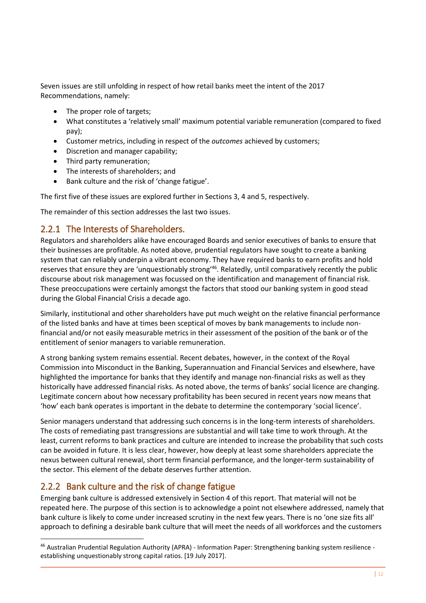Seven issues are still unfolding in respect of how retail banks meet the intent of the 2017 Recommendations, namely:

- The proper role of targets;
- What constitutes a 'relatively small' maximum potential variable remuneration (compared to fixed pay);
- Customer metrics, including in respect of the *outcomes* achieved by customers;
- Discretion and manager capability;
- Third party remuneration;
- The interests of shareholders; and
- Bank culture and the risk of 'change fatigue'.

The first five of these issues are explored further in Sections 3, 4 and 5, respectively.

The remainder of this section addresses the last two issues.

# <span id="page-17-0"></span>2.2.1 The Interests of Shareholders.

Regulators and shareholders alike have encouraged Boards and senior executives of banks to ensure that their businesses are profitable. As noted above, prudential regulators have sought to create a banking system that can reliably underpin a vibrant economy. They have required banks to earn profits and hold reserves that ensure they are 'unquestionably strong'<sup>46</sup>. Relatedly, until comparatively recently the public discourse about risk management was focussed on the identification and management of financial risk. These preoccupations were certainly amongst the factors that stood our banking system in good stead during the Global Financial Crisis a decade ago.

Similarly, institutional and other shareholders have put much weight on the relative financial performance of the listed banks and have at times been sceptical of moves by bank managements to include nonfinancial and/or not easily measurable metrics in their assessment of the position of the bank or of the entitlement of senior managers to variable remuneration.

A strong banking system remains essential. Recent debates, however, in the context of the Royal Commission into Misconduct in the Banking, Superannuation and Financial Services and elsewhere, have highlighted the importance for banks that they identify and manage non-financial risks as well as they historically have addressed financial risks. As noted above, the terms of banks' social licence are changing. Legitimate concern about how necessary profitability has been secured in recent years now means that 'how' each bank operates is important in the debate to determine the contemporary 'social licence'.

Senior managers understand that addressing such concerns is in the long-term interests of shareholders. The costs of remediating past transgressions are substantial and will take time to work through. At the least, current reforms to bank practices and culture are intended to increase the probability that such costs can be avoided in future. It is less clear, however, how deeply at least some shareholders appreciate the nexus between cultural renewal, short term financial performance, and the longer-term sustainability of the sector. This element of the debate deserves further attention.

# <span id="page-17-1"></span>2.2.2 Bank culture and the risk of change fatigue

-

Emerging bank culture is addressed extensively in Section 4 of this report. That material will not be repeated here. The purpose of this section is to acknowledge a point not elsewhere addressed, namely that bank culture is likely to come under increased scrutiny in the next few years. There is no 'one size fits all' approach to defining a desirable bank culture that will meet the needs of all workforces and the customers

<sup>46</sup> Australian Prudential Regulation Authority (APRA) - Information Paper: Strengthening banking system resilience establishing unquestionably strong capital ratios. [19 July 2017].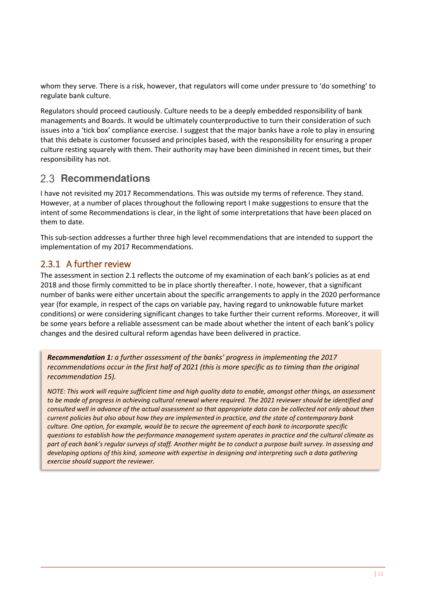whom they serve. There is a risk, however, that regulators will come under pressure to 'do something' to regulate bank culture.

Regulators should proceed cautiously. Culture needs to be a deeply embedded responsibility of bank managements and Boards. It would be ultimately counterproductive to turn their consideration of such issues into a 'tick box' compliance exercise. I suggest that the major banks have a role to play in ensuring that this debate is customer focussed and principles based, with the responsibility for ensuring a proper culture resting squarely with them. Their authority may have been diminished in recent times, but their responsibility has not.

# <span id="page-18-0"></span>2.3 **Recommendations**

I have not revisited my 2017 Recommendations. This was outside my terms of reference. They stand. However, at a number of places throughout the following report I make suggestions to ensure that the intent of some Recommendations is clear, in the light of some interpretations that have been placed on them to date.

This sub-section addresses a further three high level recommendations that are intended to support the implementation of my 2017 Recommendations.

# <span id="page-18-1"></span>2.3.1 A further review

The assessment in section 2.1 reflects the outcome of my examination of each bank's policies as at end 2018 and those firmly committed to be in place shortly thereafter. I note, however, that a significant number of banks were either uncertain about the specific arrangements to apply in the 2020 performance year (for example, in respect of the caps on variable pay, having regard to unknowable future market conditions) or were considering significant changes to take further their current reforms. Moreover, it will be some years before a reliable assessment can be made about whether the intent of each bank's policy changes and the desired cultural reform agendas have been delivered in practice.

*Recommendation 1: a further assessment of the banks' progress in implementing the 2017 recommendations occur in the first half of 2021 (this is more specific as to timing than the original recommendation 15).* 

*NOTE: This work will require sufficient time and high quality data to enable, amongst other things, an assessment*  to be made of progress in achieving cultural renewal where required. The 2021 reviewer should be identified and *consulted well in advance of the actual assessment so that appropriate data can be collected not only about then current policies but also about how they are implemented in practice, and the state of contemporary bank culture. One option, for example, would be to secure the agreement of each bank to incorporate specific questions to establish how the performance management system operates in practice and the cultural climate as part of each bank's regular surveys of staff. Another might be to conduct a purpose built survey. In assessing and developing options of this kind, someone with expertise in designing and interpreting such a data gathering exercise should support the reviewer.*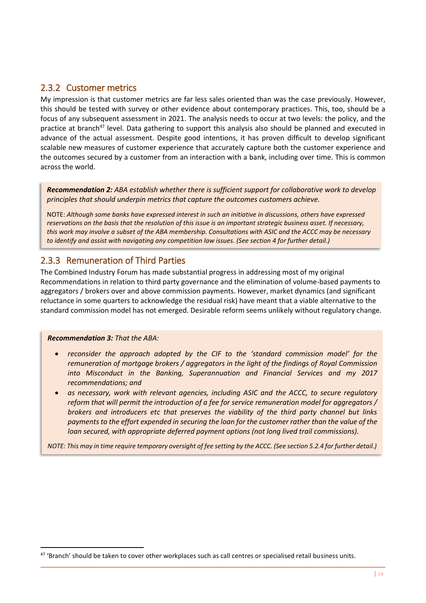### <span id="page-19-0"></span>2.3.2 Customer metrics

My impression is that customer metrics are far less sales oriented than was the case previously. However, this should be tested with survey or other evidence about contemporary practices. This, too, should be a focus of any subsequent assessment in 2021. The analysis needs to occur at two levels: the policy, and the practice at branch<sup>47</sup> level. Data gathering to support this analysis also should be planned and executed in advance of the actual assessment. Despite good intentions, it has proven difficult to develop significant scalable new measures of customer experience that accurately capture both the customer experience and the outcomes secured by a customer from an interaction with a bank, including over time. This is common across the world.

*Recommendation 2: ABA establish whether there is sufficient support for collaborative work to develop principles that should underpin metrics that capture the outcomes customers achieve.*

NOTE: *Although some banks have expressed interest in such an initiative in discussions, others have expressed reservations on the basis that the resolution of this issue is an important strategic business asset. If necessary, this work may involve a subset of the ABA membership. Consultations with ASIC and the ACCC may be necessary to identify and assist with navigating any competition law issues. (See section 4 for further detail.)*

### <span id="page-19-1"></span>2.3.3 Remuneration of Third Parties

The Combined Industry Forum has made substantial progress in addressing most of my original Recommendations in relation to third party governance and the elimination of volume-based payments to aggregators / brokers over and above commission payments. However, market dynamics (and significant reluctance in some quarters to acknowledge the residual risk) have meant that a viable alternative to the standard commission model has not emerged. Desirable reform seems unlikely without regulatory change.

#### *Recommendation 3: That the ABA:*

<u>.</u>

- *reconsider the approach adopted by the CIF to the 'standard commission model' for the remuneration of mortgage brokers / aggregators in the light of the findings of Royal Commission into Misconduct in the Banking, Superannuation and Financial Services and my 2017 recommendations; and*
- *as necessary, work with relevant agencies, including ASIC and the ACCC, to secure regulatory reform that will permit the introduction of a fee for service remuneration model for aggregators / brokers and introducers etc that preserves the viability of the third party channel but links payments to the effort expended in securing the loan for the customer rather than the value of the loan secured, with appropriate deferred payment options (not long lived trail commissions).*

*NOTE: This may in time require temporary oversight of fee setting by the ACCC. (See section 5.2.4 for further detail.)* 

<sup>&</sup>lt;sup>47</sup> 'Branch' should be taken to cover other workplaces such as call centres or specialised retail business units.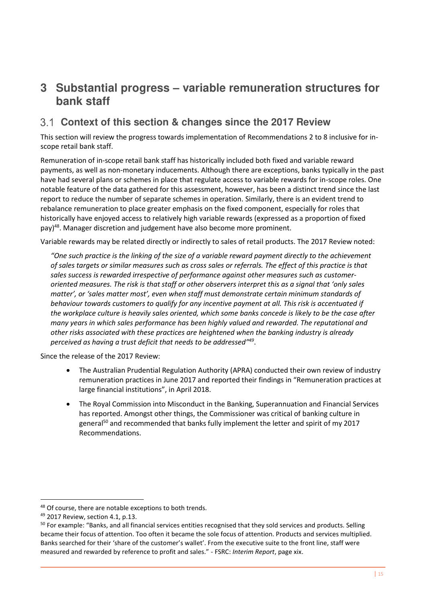# <span id="page-20-0"></span>**3 Substantial progress – variable remuneration structures for bank staff**

# <span id="page-20-1"></span>**Context of this section & changes since the 2017 Review**

This section will review the progress towards implementation of Recommendations 2 to 8 inclusive for inscope retail bank staff.

Remuneration of in-scope retail bank staff has historically included both fixed and variable reward payments, as well as non-monetary inducements. Although there are exceptions, banks typically in the past have had several plans or schemes in place that regulate access to variable rewards for in-scope roles. One notable feature of the data gathered for this assessment, however, has been a distinct trend since the last report to reduce the number of separate schemes in operation. Similarly, there is an evident trend to rebalance remuneration to place greater emphasis on the fixed component, especially for roles that historically have enjoyed access to relatively high variable rewards (expressed as a proportion of fixed pay)<sup>48</sup>. Manager discretion and judgement have also become more prominent.

Variable rewards may be related directly or indirectly to sales of retail products. The 2017 Review noted:

*"One such practice is the linking of the size of a variable reward payment directly to the achievement of sales targets or similar measures such as cross sales or referrals. The effect of this practice is that sales success is rewarded irrespective of performance against other measures such as customeroriented measures. The risk is that staff or other observers interpret this as a signal that 'only sales matter', or 'sales matter most', even when staff must demonstrate certain minimum standards of behaviour towards customers to qualify for any incentive payment at all. This risk is accentuated if the workplace culture is heavily sales oriented, which some banks concede is likely to be the case after many years in which sales performance has been highly valued and rewarded. The reputational and other risks associated with these practices are heightened when the banking industry is already perceived as having a trust deficit that needs to be addressed" 49* .

Since the release of the 2017 Review:

- The Australian Prudential Regulation Authority (APRA) conducted their own review of industry remuneration practices in June 2017 and reported their findings in "Remuneration practices at large financial institutions", in April 2018.
- The Royal Commission into Misconduct in the Banking, Superannuation and Financial Services has reported. Amongst other things, the Commissioner was critical of banking culture in general<sup>50</sup> and recommended that banks fully implement the letter and spirit of my 2017 Recommendations.

<sup>&</sup>lt;sup>48</sup> Of course, there are notable exceptions to both trends.

<sup>49</sup> 2017 Review, section 4.1, p.13.

<sup>&</sup>lt;sup>50</sup> For example: "Banks, and all financial services entities recognised that they sold services and products. Selling became their focus of attention. Too often it became the sole focus of attention. Products and services multiplied. Banks searched for their 'share of the customer's wallet'. From the executive suite to the front line, staff were measured and rewarded by reference to profit and sales." - FSRC: *Interim Report*, page xix.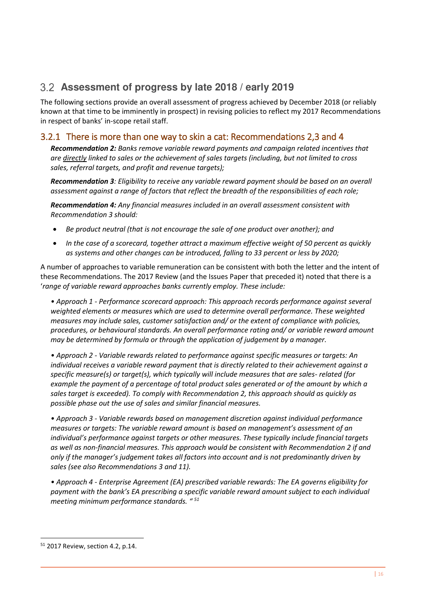# <span id="page-21-0"></span>**Assessment of progress by late 2018 / early 2019**

The following sections provide an overall assessment of progress achieved by December 2018 (or reliably known at that time to be imminently in prospect) in revising policies to reflect my 2017 Recommendations in respect of banks' in-scope retail staff.

# <span id="page-21-1"></span>3.2.1 There is more than one way to skin a cat: Recommendations 2,3 and 4

*Recommendation 2: Banks remove variable reward payments and campaign related incentives that are directly linked to sales or the achievement of sales targets (including, but not limited to cross sales, referral targets, and profit and revenue targets);* 

*Recommendation 3: Eligibility to receive any variable reward payment should be based on an overall assessment against a range of factors that reflect the breadth of the responsibilities of each role;* 

*Recommendation 4: Any financial measures included in an overall assessment consistent with Recommendation 3 should:* 

- *Be product neutral (that is not encourage the sale of one product over another); and*
- *In the case of a scorecard, together attract a maximum effective weight of 50 percent as quickly as systems and other changes can be introduced, falling to 33 percent or less by 2020;*

A number of approaches to variable remuneration can be consistent with both the letter and the intent of these Recommendations. The 2017 Review (and the Issues Paper that preceded it) noted that there is a '*range of variable reward approaches banks currently employ. These include:* 

*• Approach 1 - Performance scorecard approach: This approach records performance against several weighted elements or measures which are used to determine overall performance. These weighted measures may include sales, customer satisfaction and/ or the extent of compliance with policies, procedures, or behavioural standards. An overall performance rating and/ or variable reward amount may be determined by formula or through the application of judgement by a manager.* 

*• Approach 2 - Variable rewards related to performance against specific measures or targets: An individual receives a variable reward payment that is directly related to their achievement against a specific measure(s) or target(s), which typically will include measures that are sales- related (for example the payment of a percentage of total product sales generated or of the amount by which a sales target is exceeded). To comply with Recommendation 2, this approach should as quickly as possible phase out the use of sales and similar financial measures.* 

*• Approach 3 - Variable rewards based on management discretion against individual performance measures or targets: The variable reward amount is based on management's assessment of an individual's performance against targets or other measures. These typically include financial targets as well as non-financial measures. This approach would be consistent with Recommendation 2 if and only if the manager's judgement takes all factors into account and is not predominantly driven by sales (see also Recommendations 3 and 11).* 

*• Approach 4 - Enterprise Agreement (EA) prescribed variable rewards: The EA governs eligibility for payment with the bank's EA prescribing a specific variable reward amount subject to each individual meeting minimum performance standards. " <sup>51</sup>*

<sup>51</sup> 2017 Review, section 4.2, p.14.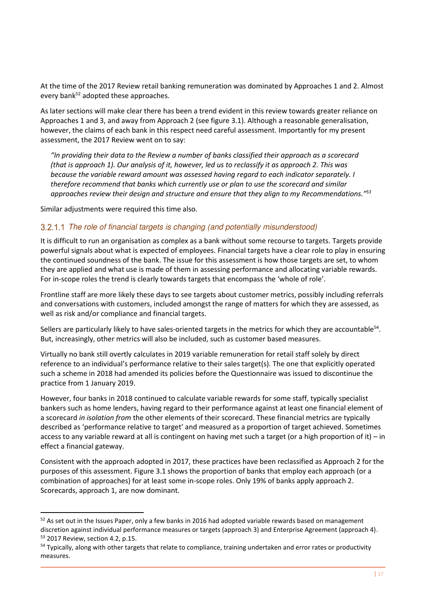At the time of the 2017 Review retail banking remuneration was dominated by Approaches 1 and 2. Almost every bank<sup>52</sup> adopted these approaches.

As later sections will make clear there has been a trend evident in this review towards greater reliance on Approaches 1 and 3, and away from Approach 2 (see figure 3.1). Although a reasonable generalisation, however, the claims of each bank in this respect need careful assessment. Importantly for my present assessment, the 2017 Review went on to say:

*"In providing their data to the Review a number of banks classified their approach as a scorecard (that is approach 1). Our analysis of it, however, led us to reclassify it as approach 2. This was because the variable reward amount was assessed having regard to each indicator separately. I therefore recommend that banks which currently use or plan to use the scorecard and similar approaches review their design and structure and ensure that they align to my Recommendations." 53*

Similar adjustments were required this time also*.* 

-

#### 3.2.1.1 The role of financial targets is changing (and potentially misunderstood)

It is difficult to run an organisation as complex as a bank without some recourse to targets. Targets provide powerful signals about what is expected of employees. Financial targets have a clear role to play in ensuring the continued soundness of the bank. The issue for this assessment is how those targets are set, to whom they are applied and what use is made of them in assessing performance and allocating variable rewards. For in-scope roles the trend is clearly towards targets that encompass the 'whole of role'.

Frontline staff are more likely these days to see targets about customer metrics, possibly including referrals and conversations with customers, included amongst the range of matters for which they are assessed, as well as risk and/or compliance and financial targets.

Sellers are particularly likely to have sales-oriented targets in the metrics for which they are accountable<sup>54</sup>. But, increasingly, other metrics will also be included, such as customer based measures.

Virtually no bank still overtly calculates in 2019 variable remuneration for retail staff solely by direct reference to an individual's performance relative to their sales target(s). The one that explicitly operated such a scheme in 2018 had amended its policies before the Questionnaire was issued to discontinue the practice from 1 January 2019.

However, four banks in 2018 continued to calculate variable rewards for some staff, typically specialist bankers such as home lenders, having regard to their performance against at least one financial element of a scorecard *in isolation from* the other elements of their scorecard. These financial metrics are typically described as 'performance relative to target' and measured as a proportion of target achieved. Sometimes access to any variable reward at all is contingent on having met such a target (or a high proportion of it) – in effect a financial gateway.

Consistent with the approach adopted in 2017, these practices have been reclassified as Approach 2 for the purposes of this assessment. Figure 3.1 shows the proportion of banks that employ each approach (or a combination of approaches) for at least some in-scope roles. Only 19% of banks apply approach 2. Scorecards, approach 1, are now dominant.

<sup>52</sup> As set out in the Issues Paper, only a few banks in 2016 had adopted variable rewards based on management discretion against individual performance measures or targets (approach 3) and Enterprise Agreement (approach 4). <sup>53</sup> 2017 Review, section 4.2, p.15.

<sup>&</sup>lt;sup>54</sup> Typically, along with other targets that relate to compliance, training undertaken and error rates or productivity measures.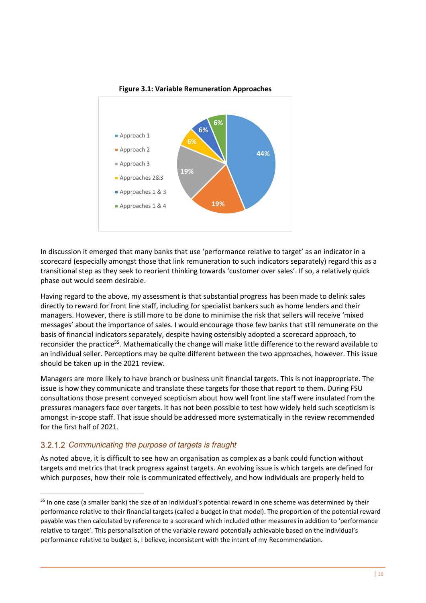

**Figure 3.1: Variable Remuneration Approaches** 

In discussion it emerged that many banks that use 'performance relative to target' as an indicator in a scorecard (especially amongst those that link remuneration to such indicators separately) regard this as a transitional step as they seek to reorient thinking towards 'customer over sales'. If so, a relatively quick phase out would seem desirable.

Having regard to the above, my assessment is that substantial progress has been made to delink sales directly to reward for front line staff, including for specialist bankers such as home lenders and their managers. However, there is still more to be done to minimise the risk that sellers will receive 'mixed messages' about the importance of sales. I would encourage those few banks that still remunerate on the basis of financial indicators separately, despite having ostensibly adopted a scorecard approach, to reconsider the practice<sup>55</sup>. Mathematically the change will make little difference to the reward available to an individual seller. Perceptions may be quite different between the two approaches, however. This issue should be taken up in the 2021 review.

Managers are more likely to have branch or business unit financial targets. This is not inappropriate. The issue is how they communicate and translate these targets for those that report to them. During FSU consultations those present conveyed scepticism about how well front line staff were insulated from the pressures managers face over targets. It has not been possible to test how widely held such scepticism is amongst in-scope staff. That issue should be addressed more systematically in the review recommended for the first half of 2021.

#### 3.2.1.2 Communicating the purpose of targets is fraught

<u>.</u>

As noted above, it is difficult to see how an organisation as complex as a bank could function without targets and metrics that track progress against targets. An evolving issue is which targets are defined for which purposes, how their role is communicated effectively, and how individuals are properly held to

<sup>55</sup> In one case (a smaller bank) the size of an individual's potential reward in one scheme was determined by their performance relative to their financial targets (called a budget in that model). The proportion of the potential reward payable was then calculated by reference to a scorecard which included other measures in addition to 'performance relative to target'. This personalisation of the variable reward potentially achievable based on the individual's performance relative to budget is, I believe, inconsistent with the intent of my Recommendation.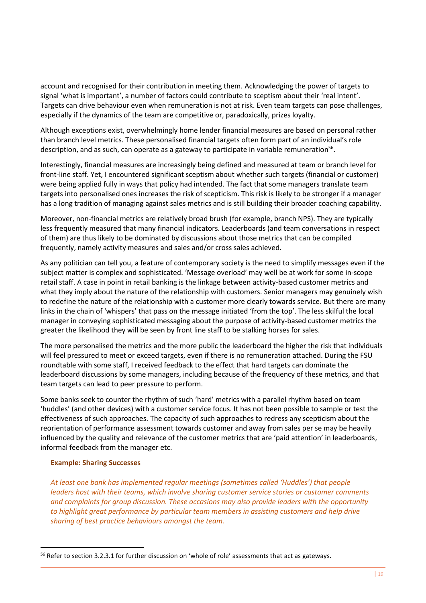account and recognised for their contribution in meeting them. Acknowledging the power of targets to signal 'what is important', a number of factors could contribute to sceptism about their 'real intent'. Targets can drive behaviour even when remuneration is not at risk. Even team targets can pose challenges, especially if the dynamics of the team are competitive or, paradoxically, prizes loyalty.

Although exceptions exist, overwhelmingly home lender financial measures are based on personal rather than branch level metrics. These personalised financial targets often form part of an individual's role description, and as such, can operate as a gateway to participate in variable remuneration<sup>56</sup>.

Interestingly, financial measures are increasingly being defined and measured at team or branch level for front-line staff. Yet, I encountered significant sceptism about whether such targets (financial or customer) were being applied fully in ways that policy had intended. The fact that some managers translate team targets into personalised ones increases the risk of scepticism. This risk is likely to be stronger if a manager has a long tradition of managing against sales metrics and is still building their broader coaching capability.

Moreover, non-financial metrics are relatively broad brush (for example, branch NPS). They are typically less frequently measured that many financial indicators. Leaderboards (and team conversations in respect of them) are thus likely to be dominated by discussions about those metrics that can be compiled frequently, namely activity measures and sales and/or cross sales achieved.

As any politician can tell you, a feature of contemporary society is the need to simplify messages even if the subject matter is complex and sophisticated. 'Message overload' may well be at work for some in-scope retail staff. A case in point in retail banking is the linkage between activity-based customer metrics and what they imply about the nature of the relationship with customers. Senior managers may genuinely wish to redefine the nature of the relationship with a customer more clearly towards service. But there are many links in the chain of 'whispers' that pass on the message initiated 'from the top'. The less skilful the local manager in conveying sophisticated messaging about the purpose of activity-based customer metrics the greater the likelihood they will be seen by front line staff to be stalking horses for sales.

The more personalised the metrics and the more public the leaderboard the higher the risk that individuals will feel pressured to meet or exceed targets, even if there is no remuneration attached. During the FSU roundtable with some staff, I received feedback to the effect that hard targets can dominate the leaderboard discussions by some managers, including because of the frequency of these metrics, and that team targets can lead to peer pressure to perform.

Some banks seek to counter the rhythm of such 'hard' metrics with a parallel rhythm based on team 'huddles' (and other devices) with a customer service focus. It has not been possible to sample or test the effectiveness of such approaches. The capacity of such approaches to redress any scepticism about the reorientation of performance assessment towards customer and away from sales per se may be heavily influenced by the quality and relevance of the customer metrics that are 'paid attention' in leaderboards, informal feedback from the manager etc.

#### **Example: Sharing Successes**

<u>.</u>

*At least one bank has implemented regular meetings (sometimes called 'Huddles') that people leaders host with their teams, which involve sharing customer service stories or customer comments and complaints for group discussion. These occasions may also provide leaders with the opportunity to highlight great performance by particular team members in assisting customers and help drive sharing of best practice behaviours amongst the team.* 

<sup>56</sup> Refer to section 3.2.3.1 for further discussion on 'whole of role' assessments that act as gateways.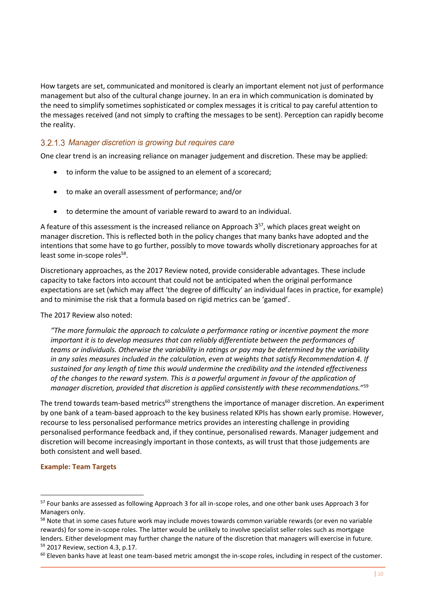How targets are set, communicated and monitored is clearly an important element not just of performance management but also of the cultural change journey. In an era in which communication is dominated by the need to simplify sometimes sophisticated or complex messages it is critical to pay careful attention to the messages received (and not simply to crafting the messages to be sent). Perception can rapidly become the reality.

#### 3.2.1.3 Manager discretion is growing but requires care

One clear trend is an increasing reliance on manager judgement and discretion. These may be applied:

- to inform the value to be assigned to an element of a scorecard;
- to make an overall assessment of performance; and/or
- to determine the amount of variable reward to award to an individual.

A feature of this assessment is the increased reliance on Approach  $3^{57}$ , which places great weight on manager discretion. This is reflected both in the policy changes that many banks have adopted and the intentions that some have to go further, possibly to move towards wholly discretionary approaches for at least some in-scope roles<sup>58</sup>.

Discretionary approaches, as the 2017 Review noted, provide considerable advantages. These include capacity to take factors into account that could not be anticipated when the original performance expectations are set (which may affect 'the degree of difficulty' an individual faces in practice, for example) and to minimise the risk that a formula based on rigid metrics can be 'gamed'.

The 2017 Review also noted:

*"The more formulaic the approach to calculate a performance rating or incentive payment the more important it is to develop measures that can reliably differentiate between the performances of teams or individuals. Otherwise the variability in ratings or pay may be determined by the variability in any sales measures included in the calculation, even at weights that satisfy Recommendation 4. If sustained for any length of time this would undermine the credibility and the intended effectiveness of the changes to the reward system. This is a powerful argument in favour of the application of manager discretion, provided that discretion is applied consistently with these recommendations.*" 59

The trend towards team-based metrics<sup>60</sup> strengthens the importance of manager discretion. An experiment by one bank of a team-based approach to the key business related KPIs has shown early promise. However, recourse to less personalised performance metrics provides an interesting challenge in providing personalised performance feedback and, if they continue, personalised rewards. Manager judgement and discretion will become increasingly important in those contexts, as will trust that those judgements are both consistent and well based.

#### **Example: Team Targets**

-

<sup>57</sup> Four banks are assessed as following Approach 3 for all in-scope roles, and one other bank uses Approach 3 for Managers only.

<sup>&</sup>lt;sup>58</sup> Note that in some cases future work may include moves towards common variable rewards (or even no variable rewards) for some in-scope roles. The latter would be unlikely to involve specialist seller roles such as mortgage lenders. Either development may further change the nature of the discretion that managers will exercise in future. <sup>59</sup> 2017 Review, section 4.3, p.17.

<sup>&</sup>lt;sup>60</sup> Eleven banks have at least one team-based metric amongst the in-scope roles, including in respect of the customer.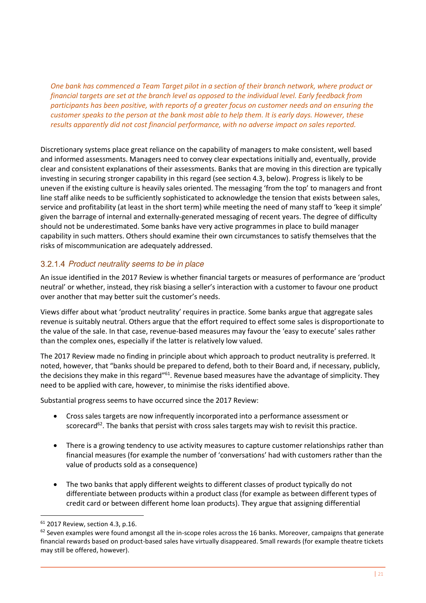*One bank has commenced a Team Target pilot in a section of their branch network, where product or financial targets are set at the branch level as opposed to the individual level. Early feedback from participants has been positive, with reports of a greater focus on customer needs and on ensuring the customer speaks to the person at the bank most able to help them. It is early days. However, these results apparently did not cost financial performance, with no adverse impact on sales reported.* 

Discretionary systems place great reliance on the capability of managers to make consistent, well based and informed assessments. Managers need to convey clear expectations initially and, eventually, provide clear and consistent explanations of their assessments. Banks that are moving in this direction are typically investing in securing stronger capability in this regard (see section 4.3, below). Progress is likely to be uneven if the existing culture is heavily sales oriented. The messaging 'from the top' to managers and front line staff alike needs to be sufficiently sophisticated to acknowledge the tension that exists between sales, service and profitability (at least in the short term) while meeting the need of many staff to 'keep it simple' given the barrage of internal and externally-generated messaging of recent years. The degree of difficulty should not be underestimated. Some banks have very active programmes in place to build manager capability in such matters. Others should examine their own circumstances to satisfy themselves that the risks of miscommunication are adequately addressed.

#### 3.2.1.4 Product neutrality seems to be in place

An issue identified in the 2017 Review is whether financial targets or measures of performance are 'product neutral' or whether, instead, they risk biasing a seller's interaction with a customer to favour one product over another that may better suit the customer's needs.

Views differ about what 'product neutrality' requires in practice. Some banks argue that aggregate sales revenue is suitably neutral. Others argue that the effort required to effect some sales is disproportionate to the value of the sale. In that case, revenue-based measures may favour the 'easy to execute' sales rather than the complex ones, especially if the latter is relatively low valued.

The 2017 Review made no finding in principle about which approach to product neutrality is preferred. It noted, however, that "banks should be prepared to defend, both to their Board and, if necessary, publicly, the decisions they make in this regard"<sup>61</sup>. Revenue based measures have the advantage of simplicity. They need to be applied with care, however, to minimise the risks identified above.

Substantial progress seems to have occurred since the 2017 Review:

- Cross sales targets are now infrequently incorporated into a performance assessment or scorecard<sup>62</sup>. The banks that persist with cross sales targets may wish to revisit this practice.
- There is a growing tendency to use activity measures to capture customer relationships rather than financial measures (for example the number of 'conversations' had with customers rather than the value of products sold as a consequence)
- The two banks that apply different weights to different classes of product typically do not differentiate between products within a product class (for example as between different types of credit card or between different home loan products). They argue that assigning differential

<sup>61</sup> 2017 Review, section 4.3, p.16.

 $62$  Seven examples were found amongst all the in-scope roles across the 16 banks. Moreover, campaigns that generate financial rewards based on product-based sales have virtually disappeared. Small rewards (for example theatre tickets may still be offered, however).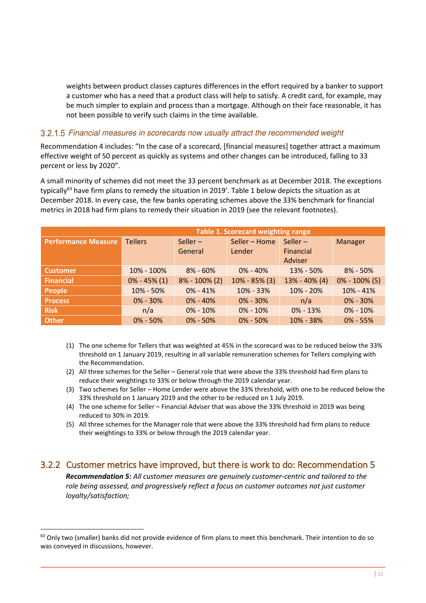weights between product classes captures differences in the effort required by a banker to support a customer who has a need that a product class will help to satisfy. A credit card, for example, may be much simpler to explain and process than a mortgage. Although on their face reasonable, it has not been possible to verify such claims in the time available.

#### 3.2.1.5 Financial measures in scorecards now usually attract the recommended weight

Recommendation 4 includes: "In the case of a scorecard, [financial measures] together attract a maximum effective weight of 50 percent as quickly as systems and other changes can be introduced, falling to 33 percent or less by 2020".

A small minority of schemes did not meet the 33 percent benchmark as at December 2018. The exceptions typically<sup>63</sup> have firm plans to remedy the situation in 2019'. Table 1 below depicts the situation as at December 2018. In every case, the few banks operating schemes above the 33% benchmark for financial metrics in 2018 had firm plans to remedy their situation in 2019 (see the relevant footnotes).

| Table 1. Scorecard weighting range |                  |                   |                   |                 |                   |
|------------------------------------|------------------|-------------------|-------------------|-----------------|-------------------|
| <b>Performance Measure</b>         | <b>Tellers</b>   | Seller $-$        | Seller - Home     | Seller $-$      | Manager           |
|                                    |                  | General           | Lender            | Financial       |                   |
|                                    |                  |                   |                   | Adviser         |                   |
| <b>Customer</b>                    | 10% - 100%       | $8\% - 60\%$      | $0\% - 40\%$      | 13% - 50%       | $8\% - 50\%$      |
| <b>Financial</b>                   | $0\% - 45\% (1)$ | $8\% - 100\%$ (2) | $10\% - 85\%$ (3) | $13% - 40% (4)$ | $0\% - 100\%$ (5) |
| People                             | 10% - 50%        | $0\% - 41\%$      | 10% - 33%         | 10% - 20%       | $10\% - 41\%$     |
| <b>Process</b>                     | $0\% - 30\%$     | $0\% - 40\%$      | $0\% - 30\%$      | n/a             | $0\% - 30\%$      |
| <b>Risk</b>                        | n/a              | $0\% - 10\%$      | $0\% - 10\%$      | $0\% - 13\%$    | $0\% - 10\%$      |
| <b>Other</b>                       | $0\% - 50\%$     | $0\% - 50\%$      | $0\% - 50\%$      | 10% - 38%       | $0\% - 55\%$      |

- (1) The one scheme for Tellers that was weighted at 45% in the scorecard was to be reduced below the 33% threshold on 1 January 2019, resulting in all variable remuneration schemes for Tellers complying with the Recommendation.
- (2) All three schemes for the Seller General role that were above the 33% threshold had firm plans to reduce their weightings to 33% or below through the 2019 calendar year.
- (3) Two schemes for Seller Home Lender were above the 33% threshold, with one to be reduced below the 33% threshold on 1 January 2019 and the other to be reduced on 1 July 2019.
- (4) The one scheme for Seller Financial Adviser that was above the 33% threshold in 2019 was being reduced to 30% in 2019.
- (5) All three schemes for the Manager role that were above the 33% threshold had firm plans to reduce their weightings to 33% or below through the 2019 calendar year.

### <span id="page-27-0"></span>3.2.2 Customer metrics have improved, but there is work to do: Recommendation 5

*Recommendation 5: All customer measures are genuinely customer-centric and tailored to the role being assessed, and progressively reflect a focus on customer outcomes not just customer loyalty/satisfaction;* 

-

<sup>&</sup>lt;sup>63</sup> Only two (smaller) banks did not provide evidence of firm plans to meet this benchmark. Their intention to do so was conveyed in discussions, however.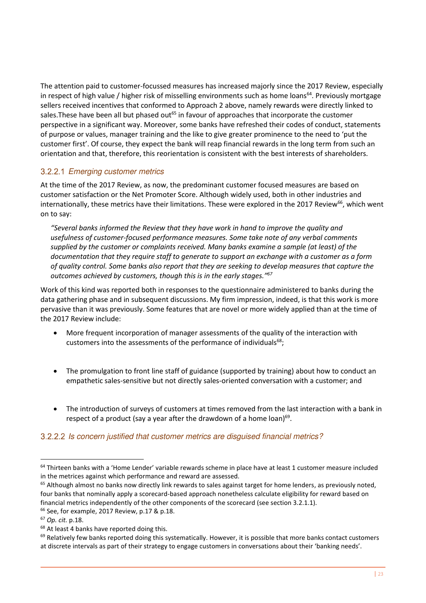The attention paid to customer-focussed measures has increased majorly since the 2017 Review, especially in respect of high value / higher risk of misselling environments such as home loans<sup>64</sup>. Previously mortgage sellers received incentives that conformed to Approach 2 above, namely rewards were directly linked to sales. These have been all but phased out<sup>65</sup> in favour of approaches that incorporate the customer perspective in a significant way. Moreover, some banks have refreshed their codes of conduct, statements of purpose or values, manager training and the like to give greater prominence to the need to 'put the customer first'. Of course, they expect the bank will reap financial rewards in the long term from such an orientation and that, therefore, this reorientation is consistent with the best interests of shareholders.

### 3.2.2.1 Emerging customer metrics

At the time of the 2017 Review, as now, the predominant customer focused measures are based on customer satisfaction or the Net Promoter Score. Although widely used, both in other industries and internationally, these metrics have their limitations. These were explored in the 2017 Review<sup>66</sup>, which went on to say:

*"Several banks informed the Review that they have work in hand to improve the quality and usefulness of customer-focused performance measures. Some take note of any verbal comments supplied by the customer or complaints received. Many banks examine a sample (at least) of the documentation that they require staff to generate to support an exchange with a customer as a form of quality control. Some banks also report that they are seeking to develop measures that capture the outcomes achieved by customers, though this is in the early stages." 67*

Work of this kind was reported both in responses to the questionnaire administered to banks during the data gathering phase and in subsequent discussions. My firm impression, indeed, is that this work is more pervasive than it was previously. Some features that are novel or more widely applied than at the time of the 2017 Review include:

- More frequent incorporation of manager assessments of the quality of the interaction with customers into the assessments of the performance of individuals $^{68}$ ;
- The promulgation to front line staff of guidance (supported by training) about how to conduct an empathetic sales-sensitive but not directly sales-oriented conversation with a customer; and
- The introduction of surveys of customers at times removed from the last interaction with a bank in respect of a product (say a year after the drawdown of a home loan) $69$ .

#### Is concern justified that customer metrics are disguised financial metrics?

 $65$  Although almost no banks now directly link rewards to sales against target for home lenders, as previously noted, four banks that nominally apply a scorecard-based approach nonetheless calculate eligibility for reward based on financial metrics independently of the other components of the scorecard (see section 3.2.1.1).

<sup>&</sup>lt;sup>64</sup> Thirteen banks with a 'Home Lender' variable rewards scheme in place have at least 1 customer measure included in the metrices against which performance and reward are assessed.

<sup>&</sup>lt;sup>66</sup> See, for example, 2017 Review, p.17 & p.18.

<sup>67</sup> *Op. cit.* p.18.

<sup>&</sup>lt;sup>68</sup> At least 4 banks have reported doing this.

 $69$  Relatively few banks reported doing this systematically. However, it is possible that more banks contact customers at discrete intervals as part of their strategy to engage customers in conversations about their 'banking needs'.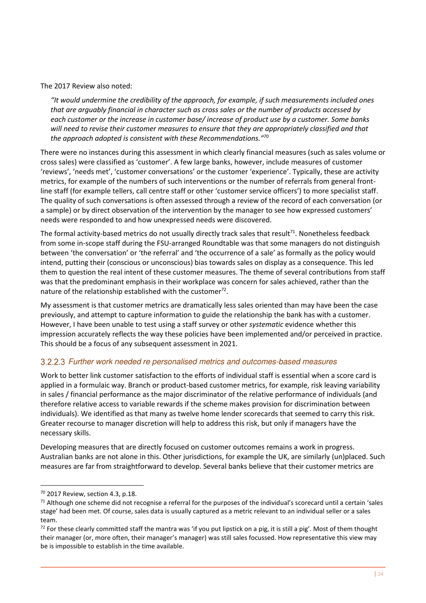The 2017 Review also noted:

*"It would undermine the credibility of the approach, for example, if such measurements included ones that are arguably financial in character such as cross sales or the number of products accessed by each customer or the increase in customer base/ increase of product use by a customer. Some banks will need to revise their customer measures to ensure that they are appropriately classified and that the approach adopted is consistent with these Recommendations." 70* 

There were no instances during this assessment in which clearly financial measures (such as sales volume or cross sales) were classified as 'customer'. A few large banks, however, include measures of customer 'reviews', 'needs met', 'customer conversations' or the customer 'experience'. Typically, these are activity metrics, for example of the numbers of such interventions or the number of referrals from general frontline staff (for example tellers, call centre staff or other 'customer service officers') to more specialist staff. The quality of such conversations is often assessed through a review of the record of each conversation (or a sample) or by direct observation of the intervention by the manager to see how expressed customers' needs were responded to and how unexpressed needs were discovered.

The formal activity-based metrics do not usually directly track sales that result<sup>71</sup>. Nonetheless feedback from some in-scope staff during the FSU-arranged Roundtable was that some managers do not distinguish between 'the conversation' or 'the referral' and 'the occurrence of a sale' as formally as the policy would intend, putting their (conscious or unconscious) bias towards sales on display as a consequence. This led them to question the real intent of these customer measures. The theme of several contributions from staff was that the predominant emphasis in their workplace was concern for sales achieved, rather than the nature of the relationship established with the customer $^{72}$ .

My assessment is that customer metrics are dramatically less sales oriented than may have been the case previously, and attempt to capture information to guide the relationship the bank has with a customer. However, I have been unable to test using a staff survey or other *systematic* evidence whether this impression accurately reflects the way these policies have been implemented and/or perceived in practice. This should be a focus of any subsequent assessment in 2021.

#### Further work needed re personalised metrics and outcomes-based measures

Work to better link customer satisfaction to the efforts of individual staff is essential when a score card is applied in a formulaic way. Branch or product-based customer metrics, for example, risk leaving variability in sales / financial performance as the major discriminator of the relative performance of individuals (and therefore relative access to variable rewards if the scheme makes provision for discrimination between individuals). We identified as that many as twelve home lender scorecards that seemed to carry this risk. Greater recourse to manager discretion will help to address this risk, but only if managers have the necessary skills.

Developing measures that are directly focused on customer outcomes remains a work in progress. Australian banks are not alone in this. Other jurisdictions, for example the UK, are similarly (un)placed. Such measures are far from straightforward to develop. Several banks believe that their customer metrics are

<sup>70</sup> 2017 Review, section 4.3, p.18.

 $71$  Although one scheme did not recognise a referral for the purposes of the individual's scorecard until a certain 'sales stage' had been met. Of course, sales data is usually captured as a metric relevant to an individual seller or a sales team.

 $72$  For these clearly committed staff the mantra was 'if you put lipstick on a pig, it is still a pig'. Most of them thought their manager (or, more often, their manager's manager) was still sales focussed. How representative this view may be is impossible to establish in the time available.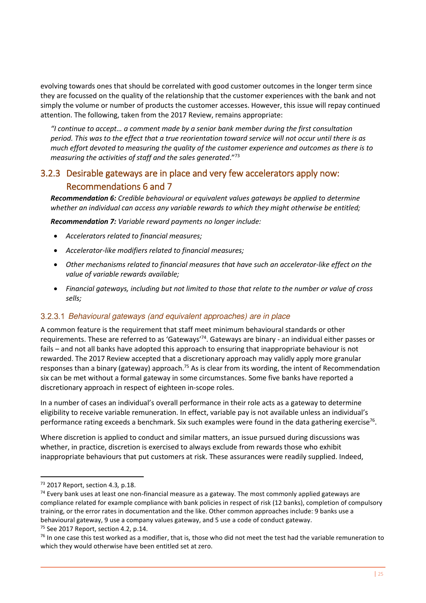evolving towards ones that should be correlated with good customer outcomes in the longer term since they are focussed on the quality of the relationship that the customer experiences with the bank and not simply the volume or number of products the customer accesses. However, this issue will repay continued attention. The following, taken from the 2017 Review, remains appropriate:

*"I continue to accept… a comment made by a senior bank member during the first consultation period. This was to the effect that a true reorientation toward service will not occur until there is as much effort devoted to measuring the quality of the customer experience and outcomes as there is to measuring the activities of staff and the sales generated*." 73

# <span id="page-30-0"></span>3.2.3 Desirable gateways are in place and very few accelerators apply now: Recommendations 6 and 7

*Recommendation 6: Credible behavioural or equivalent values gateways be applied to determine whether an individual can access any variable rewards to which they might otherwise be entitled;* 

*Recommendation 7: Variable reward payments no longer include:* 

- *Accelerators related to financial measures;*
- *Accelerator-like modifiers related to financial measures;*
- *Other mechanisms related to financial measures that have such an accelerator-like effect on the value of variable rewards available;*
- *Financial gateways, including but not limited to those that relate to the number or value of cross sells;*

#### Behavioural gateways (and equivalent approaches) are in place

A common feature is the requirement that staff meet minimum behavioural standards or other requirements. These are referred to as 'Gateways'<sup>74</sup>. Gateways are binary - an individual either passes or fails – and not all banks have adopted this approach to ensuring that inappropriate behaviour is not rewarded. The 2017 Review accepted that a discretionary approach may validly apply more granular responses than a binary (gateway) approach.<sup>75</sup> As is clear from its wording, the intent of Recommendation six can be met without a formal gateway in some circumstances. Some five banks have reported a discretionary approach in respect of eighteen in-scope roles.

In a number of cases an individual's overall performance in their role acts as a gateway to determine eligibility to receive variable remuneration. In effect, variable pay is not available unless an individual's performance rating exceeds a benchmark. Six such examples were found in the data gathering exercise<sup>76</sup>.

Where discretion is applied to conduct and similar matters, an issue pursued during discussions was whether, in practice, discretion is exercised to always exclude from rewards those who exhibit inappropriate behaviours that put customers at risk. These assurances were readily supplied. Indeed,

<sup>73</sup> 2017 Report, section 4.3*,* p.18.

<sup>&</sup>lt;sup>74</sup> Every bank uses at least one non-financial measure as a gateway. The most commonly applied gateways are compliance related for example compliance with bank policies in respect of risk (12 banks), completion of compulsory training, or the error rates in documentation and the like. Other common approaches include: 9 banks use a behavioural gateway, 9 use a company values gateway, and 5 use a code of conduct gateway.  $75$  See 2017 Report, section 4.2, p.14.

 $76$  In one case this test worked as a modifier, that is, those who did not meet the test had the variable remuneration to which they would otherwise have been entitled set at zero.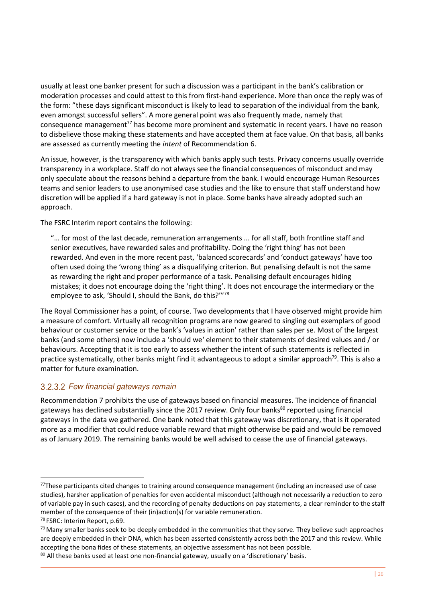usually at least one banker present for such a discussion was a participant in the bank's calibration or moderation processes and could attest to this from first-hand experience. More than once the reply was of the form: "these days significant misconduct is likely to lead to separation of the individual from the bank, even amongst successful sellers". A more general point was also frequently made, namely that consequence management<sup>77</sup> has become more prominent and systematic in recent years. I have no reason to disbelieve those making these statements and have accepted them at face value. On that basis, all banks are assessed as currently meeting the *intent* of Recommendation 6.

An issue, however, is the transparency with which banks apply such tests. Privacy concerns usually override transparency in a workplace. Staff do not always see the financial consequences of misconduct and may only speculate about the reasons behind a departure from the bank. I would encourage Human Resources teams and senior leaders to use anonymised case studies and the like to ensure that staff understand how discretion will be applied if a hard gateway is not in place. Some banks have already adopted such an approach.

The FSRC Interim report contains the following:

"… for most of the last decade, remuneration arrangements ... for all staff, both frontline staff and senior executives, have rewarded sales and profitability. Doing the 'right thing' has not been rewarded. And even in the more recent past, 'balanced scorecards' and 'conduct gateways' have too often used doing the 'wrong thing' as a disqualifying criterion. But penalising default is not the same as rewarding the right and proper performance of a task. Penalising default encourages hiding mistakes; it does not encourage doing the 'right thing'. It does not encourage the intermediary or the employee to ask, 'Should I, should the Bank, do this?'"<sup>78</sup>

The Royal Commissioner has a point, of course. Two developments that I have observed might provide him a measure of comfort. Virtually all recognition programs are now geared to singling out exemplars of good behaviour or customer service or the bank's 'values in action' rather than sales per se. Most of the largest banks (and some others) now include a 'should we' element to their statements of desired values and / or behaviours. Accepting that it is too early to assess whether the intent of such statements is reflected in practice systematically, other banks might find it advantageous to adopt a similar approach<sup>79</sup>. This is also a matter for future examination.

#### 3.2.3.2 Few financial gateways remain

Recommendation 7 prohibits the use of gateways based on financial measures. The incidence of financial gateways has declined substantially since the 2017 review. Only four banks<sup>80</sup> reported using financial gateways in the data we gathered. One bank noted that this gateway was discretionary, that is it operated more as a modifier that could reduce variable reward that might otherwise be paid and would be removed as of January 2019. The remaining banks would be well advised to cease the use of financial gateways.

-

 $77$ These participants cited changes to training around consequence management (including an increased use of case studies), harsher application of penalties for even accidental misconduct (although not necessarily a reduction to zero of variable pay in such cases), and the recording of penalty deductions on pay statements, a clear reminder to the staff member of the consequence of their (in)action(s) for variable remuneration.

<sup>78</sup> FSRC: Interim Report, p.69.

 $79$  Many smaller banks seek to be deeply embedded in the communities that they serve. They believe such approaches are deeply embedded in their DNA, which has been asserted consistently across both the 2017 and this review. While accepting the bona fides of these statements, an objective assessment has not been possible.

 $80$  All these banks used at least one non-financial gateway, usually on a 'discretionary' basis.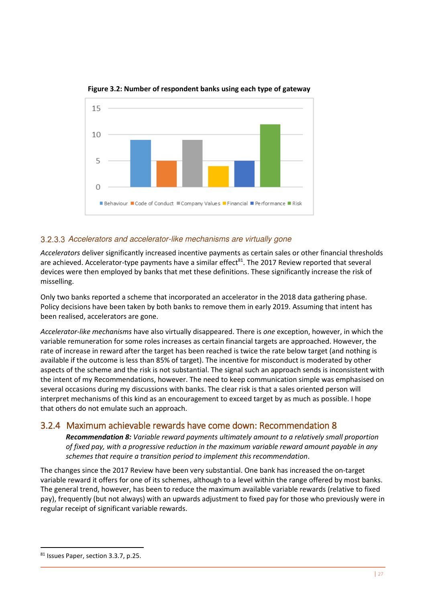

**Figure 3.2: Number of respondent banks using each type of gateway** 

#### 3.2.3.3 Accelerators and accelerator-like mechanisms are virtually gone

*Accelerators* deliver significantly increased incentive payments as certain sales or other financial thresholds are achieved. Accelerator-type payments have a similar effect<sup>81</sup>. The 2017 Review reported that several devices were then employed by banks that met these definitions. These significantly increase the risk of misselling.

Only two banks reported a scheme that incorporated an accelerator in the 2018 data gathering phase. Policy decisions have been taken by both banks to remove them in early 2019*.* Assuming that intent has been realised, accelerators are gone.

*Accelerator-like mechanisms* have also virtually disappeared. There is *one* exception, however, in which the variable remuneration for some roles increases as certain financial targets are approached. However, the rate of increase in reward after the target has been reached is twice the rate below target (and nothing is available if the outcome is less than 85% of target). The incentive for misconduct is moderated by other aspects of the scheme and the risk is not substantial. The signal such an approach sends is inconsistent with the intent of my Recommendations, however. The need to keep communication simple was emphasised on several occasions during my discussions with banks. The clear risk is that a sales oriented person will interpret mechanisms of this kind as an encouragement to exceed target by as much as possible. I hope that others do not emulate such an approach.

### <span id="page-32-0"></span>3.2.4 Maximum achievable rewards have come down: Recommendation 8

*Recommendation 8: Variable reward payments ultimately amount to a relatively small proportion of fixed pay, with a progressive reduction in the maximum variable reward amount payable in any schemes that require a transition period to implement this recommendation*.

The changes since the 2017 Review have been very substantial. One bank has increased the on-target variable reward it offers for one of its schemes, although to a level within the range offered by most banks. The general trend, however, has been to reduce the maximum available variable rewards (relative to fixed pay), frequently (but not always) with an upwards adjustment to fixed pay for those who previously were in regular receipt of significant variable rewards.

<sup>81</sup> Issues Paper, section 3.3.7, p.25.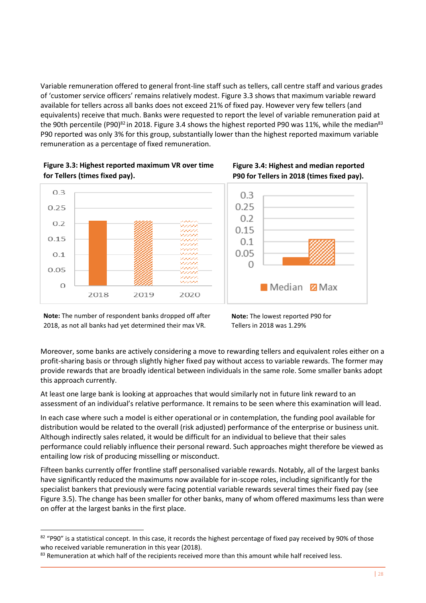Variable remuneration offered to general front-line staff such as tellers, call centre staff and various grades of 'customer service officers' remains relatively modest. Figure 3.3 shows that maximum variable reward available for tellers across all banks does not exceed 21% of fixed pay. However very few tellers (and equivalents) receive that much. Banks were requested to report the level of variable remuneration paid at the 90th percentile (P90)<sup>82</sup> in 2018. Figure 3.4 shows the highest reported P90 was 11%, while the median<sup>83</sup> P90 reported was only 3% for this group, substantially lower than the highest reported maximum variable remuneration as a percentage of fixed remuneration.









**Note:** The number of respondent banks dropped off after 2018, as not all banks had yet determined their max VR.

<u>.</u>

**Note:** The lowest reported P90 for Tellers in 2018 was 1.29%

Moreover, some banks are actively considering a move to rewarding tellers and equivalent roles either on a profit-sharing basis or through slightly higher fixed pay without access to variable rewards. The former may provide rewards that are broadly identical between individuals in the same role. Some smaller banks adopt this approach currently.

At least one large bank is looking at approaches that would similarly not in future link reward to an assessment of an individual's relative performance. It remains to be seen where this examination will lead.

In each case where such a model is either operational or in contemplation, the funding pool available for distribution would be related to the overall (risk adjusted) performance of the enterprise or business unit. Although indirectly sales related, it would be difficult for an individual to believe that their sales performance could reliably influence their personal reward. Such approaches might therefore be viewed as entailing low risk of producing misselling or misconduct.

Fifteen banks currently offer frontline staff personalised variable rewards. Notably, all of the largest banks have significantly reduced the maximums now available for in-scope roles, including significantly for the specialist bankers that previously were facing potential variable rewards several times their fixed pay (see Figure 3.5). The change has been smaller for other banks, many of whom offered maximums less than were on offer at the largest banks in the first place.

 $82$  "P90" is a statistical concept. In this case, it records the highest percentage of fixed pay received by 90% of those who received variable remuneration in this year (2018).

<sup>83</sup> Remuneration at which half of the recipients received more than this amount while half received less.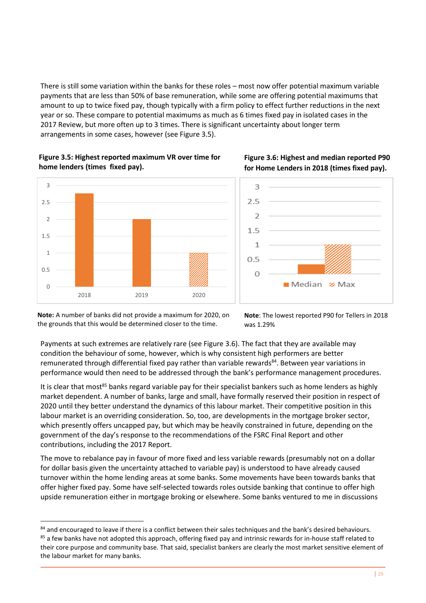There is still some variation within the banks for these roles – most now offer potential maximum variable payments that are less than 50% of base remuneration, while some are offering potential maximums that amount to up to twice fixed pay, though typically with a firm policy to effect further reductions in the next year or so. These compare to potential maximums as much as 6 times fixed pay in isolated cases in the 2017 Review, but more often up to 3 times. There is significant uncertainty about longer term arrangements in some cases, however (see Figure 3.5).

#### **Figure 3.5: Highest reported maximum VR over time for home lenders (times fixed pay).**



#### **Figure 3.6: Highest and median reported P90 for Home Lenders in 2018 (times fixed pay).**



**Note:** A number of banks did not provide a maximum for 2020, on the grounds that this would be determined closer to the time.

<u>.</u>

**Note**: The lowest reported P90 for Tellers in 2018 was 1.29%

Payments at such extremes are relatively rare (see Figure 3.6). The fact that they are available may condition the behaviour of some, however, which is why consistent high performers are better remunerated through differential fixed pay rather than variable rewards<sup>84</sup>. Between year variations in performance would then need to be addressed through the bank's performance management procedures.

It is clear that most<sup>85</sup> banks regard variable pay for their specialist bankers such as home lenders as highly market dependent. A number of banks, large and small, have formally reserved their position in respect of 2020 until they better understand the dynamics of this labour market. Their competitive position in this labour market is an overriding consideration. So, too, are developments in the mortgage broker sector, which presently offers uncapped pay, but which may be heavily constrained in future, depending on the government of the day's response to the recommendations of the FSRC Final Report and other contributions, including the 2017 Report.

The move to rebalance pay in favour of more fixed and less variable rewards (presumably not on a dollar for dollar basis given the uncertainty attached to variable pay) is understood to have already caused turnover within the home lending areas at some banks. Some movements have been towards banks that offer higher fixed pay. Some have self-selected towards roles outside banking that continue to offer high upside remuneration either in mortgage broking or elsewhere. Some banks ventured to me in discussions

<sup>84</sup> and encouraged to leave if there is a conflict between their sales techniques and the bank's desired behaviours. <sup>85</sup> a few banks have not adopted this approach, offering fixed pay and intrinsic rewards for in-house staff related to their core purpose and community base. That said, specialist bankers are clearly the most market sensitive element of the labour market for many banks.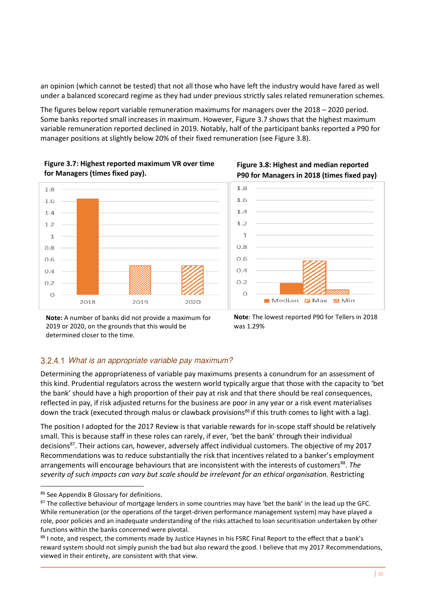an opinion (which cannot be tested) that not all those who have left the industry would have fared as well under a balanced scorecard regime as they had under previous strictly sales related remuneration schemes.

The figures below report variable remuneration maximums for managers over the 2018 – 2020 period. Some banks reported small increases in maximum. However, Figure 3.7 shows that the highest maximum variable remuneration reported declined in 2019. Notably, half of the participant banks reported a P90 for manager positions at slightly below 20% of their fixed remuneration (see Figure 3.8).









**Note:** A number of banks did not provide a maximum for 2019 or 2020, on the grounds that this would be determined closer to the time.

**Note**: The lowest reported P90 for Tellers in 2018 was 1.29%

### What is an appropriate variable pay maximum?

Determining the appropriateness of variable pay maximums presents a conundrum for an assessment of this kind. Prudential regulators across the western world typically argue that those with the capacity to 'bet the bank' should have a high proportion of their pay at risk and that there should be real consequences, reflected in pay, if risk adjusted returns for the business are poor in any year or a risk event materialises down the track (executed through malus or clawback provisions<sup>86</sup> if this truth comes to light with a lag).

The position I adopted for the 2017 Review is that variable rewards for in-scope staff should be relatively small. This is because staff in these roles can rarely, if ever, 'bet the bank' through their individual decisions<sup>87</sup>. Their actions can, however, adversely affect individual customers. The objective of my 2017 Recommendations was to reduce substantially the risk that incentives related to a banker's employment arrangements will encourage behaviours that are inconsistent with the interests of customers<sup>88</sup>. The *severity of such impacts can vary but scale should be irrelevant for an ethical organisation.* Restricting

<sup>86</sup> See Appendix B Glossary for definitions.

<sup>87</sup> The collective behaviour of mortgage lenders in some countries may have 'bet the bank' in the lead up the GFC. While remuneration (or the operations of the target-driven performance management system) may have played a role, poor policies and an inadequate understanding of the risks attached to loan securitisation undertaken by other functions within the banks concerned were pivotal.

<sup>88</sup> I note, and respect, the comments made by Justice Haynes in his FSRC Final Report to the effect that a bank's reward system should not simply punish the bad but also reward the good. I believe that my 2017 Recommendations, viewed in their entirety, are consistent with that view.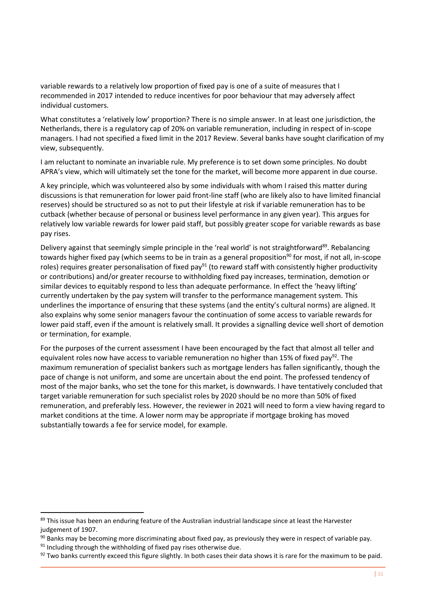variable rewards to a relatively low proportion of fixed pay is one of a suite of measures that I recommended in 2017 intended to reduce incentives for poor behaviour that may adversely affect individual customers.

What constitutes a 'relatively low' proportion? There is no simple answer. In at least one jurisdiction, the Netherlands, there is a regulatory cap of 20% on variable remuneration, including in respect of in-scope managers. I had not specified a fixed limit in the 2017 Review. Several banks have sought clarification of my view, subsequently.

I am reluctant to nominate an invariable rule. My preference is to set down some principles. No doubt APRA's view, which will ultimately set the tone for the market, will become more apparent in due course.

A key principle, which was volunteered also by some individuals with whom I raised this matter during discussions is that remuneration for lower paid front-line staff (who are likely also to have limited financial reserves) should be structured so as not to put their lifestyle at risk if variable remuneration has to be cutback (whether because of personal or business level performance in any given year). This argues for relatively low variable rewards for lower paid staff, but possibly greater scope for variable rewards as base pay rises.

Delivery against that seemingly simple principle in the 'real world' is not straightforward<sup>89</sup>. Rebalancing towards higher fixed pay (which seems to be in train as a general proposition<sup>90</sup> for most, if not all, in-scope roles) requires greater personalisation of fixed pay<sup>91</sup> (to reward staff with consistently higher productivity or contributions) and/or greater recourse to withholding fixed pay increases, termination, demotion or similar devices to equitably respond to less than adequate performance. In effect the 'heavy lifting' currently undertaken by the pay system will transfer to the performance management system. This underlines the importance of ensuring that these systems (and the entity's cultural norms) are aligned. It also explains why some senior managers favour the continuation of some access to variable rewards for lower paid staff, even if the amount is relatively small. It provides a signalling device well short of demotion or termination, for example.

For the purposes of the current assessment I have been encouraged by the fact that almost all teller and equivalent roles now have access to variable remuneration no higher than 15% of fixed pay<sup>92</sup>. The maximum remuneration of specialist bankers such as mortgage lenders has fallen significantly, though the pace of change is not uniform, and some are uncertain about the end point. The professed tendency of most of the major banks, who set the tone for this market, is downwards. I have tentatively concluded that target variable remuneration for such specialist roles by 2020 should be no more than 50% of fixed remuneration, and preferably less. However, the reviewer in 2021 will need to form a view having regard to market conditions at the time. A lower norm may be appropriate if mortgage broking has moved substantially towards a fee for service model, for example.

-

<sup>89</sup> This issue has been an enduring feature of the Australian industrial landscape since at least the Harvester judgement of 1907.

 $90$  Banks may be becoming more discriminating about fixed pay, as previously they were in respect of variable pay.

 $91$  Including through the withholding of fixed pay rises otherwise due.

 $92$  Two banks currently exceed this figure slightly. In both cases their data shows it is rare for the maximum to be paid.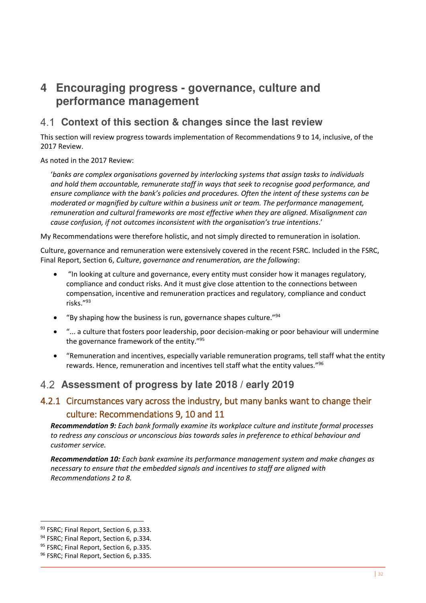# <span id="page-37-0"></span>**4 Encouraging progress - governance, culture and performance management**

# <span id="page-37-1"></span>**Context of this section & changes since the last review**

This section will review progress towards implementation of Recommendations 9 to 14, inclusive, of the 2017 Review.

As noted in the 2017 Review:

'*banks are complex organisations governed by interlocking systems that assign tasks to individuals and hold them accountable, remunerate staff in ways that seek to recognise good performance, and ensure compliance with the bank's policies and procedures. Often the intent of these systems can be moderated or magnified by culture within a business unit or team. The performance management, remuneration and cultural frameworks are most effective when they are aligned. Misalignment can cause confusion, if not outcomes inconsistent with the organisation's true intentions*.'

My Recommendations were therefore holistic, and not simply directed to remuneration in isolation.

Culture, governance and remuneration were extensively covered in the recent FSRC. Included in the FSRC, Final Report, Section 6, *Culture*, *governance and renumeration, are the following*:

- "In looking at culture and governance, every entity must consider how it manages regulatory, compliance and conduct risks. And it must give close attention to the connections between compensation, incentive and remuneration practices and regulatory, compliance and conduct risks." 93
- "By shaping how the business is run, governance shapes culture." $94$
- "... a culture that fosters poor leadership, poor decision-making or poor behaviour will undermine the governance framework of the entity."<sup>95</sup>
- "Remuneration and incentives, especially variable remuneration programs, tell staff what the entity rewards. Hence, remuneration and incentives tell staff what the entity values."<sup>96</sup>

# <span id="page-37-2"></span>**Assessment of progress by late 2018 / early 2019**

# <span id="page-37-3"></span>4.2.1 Circumstances vary across the industry, but many banks want to change their culture: Recommendations 9, 10 and 11

*Recommendation 9: Each bank formally examine its workplace culture and institute formal processes to redress any conscious or unconscious bias towards sales in preference to ethical behaviour and customer service.* 

*Recommendation 10: Each bank examine its performance management system and make changes as necessary to ensure that the embedded signals and incentives to staff are aligned with Recommendations 2 to 8.* 

<sup>93</sup> FSRC; Final Report, Section 6, p.333.

<sup>&</sup>lt;sup>94</sup> FSRC: Final Report, Section 6, p.334.

<sup>95</sup> FSRC: Final Report, Section 6, p.335.

<sup>96</sup> FSRC; Final Report, Section 6, p.335.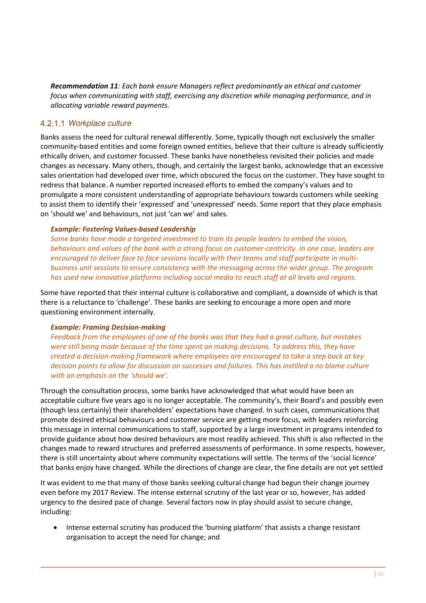*Recommendation 11: Each bank ensure Managers reflect predominantly an ethical and customer focus when communicating with staff, exercising any discretion while managing performance, and in allocating variable reward payments.* 

#### 4.2.1.1 Workplace culture

Banks assess the need for cultural renewal differently. Some, typically though not exclusively the smaller community-based entities and some foreign owned entities, believe that their culture is already sufficiently ethically driven, and customer focussed. These banks have nonetheless revisited their policies and made changes as necessary. Many others, though, and certainly the largest banks, acknowledge that an excessive sales orientation had developed over time, which obscured the focus on the customer. They have sought to redress that balance. A number reported increased efforts to embed the company's values and to promulgate a more consistent understanding of appropriate behaviours towards customers while seeking to assist them to identify their 'expressed' and 'unexpressed' needs. Some report that they place emphasis on 'should we' and behaviours, not just 'can we' and sales.

#### *Example: Fostering Values-based Leadership*

*Some banks have made a targeted investment to train its people leaders to embed the vision, behaviours and values of the bank with a strong focus on customer-centricity. In one case, leaders are encouraged to deliver face to face sessions locally with their teams and staff participate in multibusiness unit sessions to ensure consistency with the messaging across the wider group. The program has used new innovative platforms including social media to reach staff at all levels and regions.*

Some have reported that their internal culture is collaborative and compliant, a downside of which is that there is a reluctance to 'challenge'. These banks are seeking to encourage a more open and more questioning environment internally.

#### *Example: Framing Decision-making*

*Feedback from the employees of one of the banks was that they had a great culture, but mistakes were still being made because of the time spent on making decisions. To address this, they have created a decision-making framework where employees are encouraged to take a step back at key decision points to allow for discussion on successes and failures. This has instilled a no blame culture with an emphasis on the 'should we'.*

Through the consultation process, some banks have acknowledged that what would have been an acceptable culture five years ago is no longer acceptable. The community's, their Board's and possibly even (though less certainly) their shareholders' expectations have changed. In such cases, communications that promote desired ethical behaviours and customer service are getting more focus, with leaders reinforcing this message in internal communications to staff, supported by a large investment in programs intended to provide guidance about how desired behaviours are most readily achieved. This shift is also reflected in the changes made to reward structures and preferred assessments of performance. In some respects, however, there is still uncertainty about where community expectations will settle. The terms of the 'social licence' that banks enjoy have changed. While the directions of change are clear, the fine details are not yet settled

It was evident to me that many of those banks seeking cultural change had begun their change journey even before my 2017 Review. The intense external scrutiny of the last year or so, however, has added urgency to the desired pace of change. Several factors now in play should assist to secure change, including:

• Intense external scrutiny has produced the 'burning platform' that assists a change resistant organisation to accept the need for change; and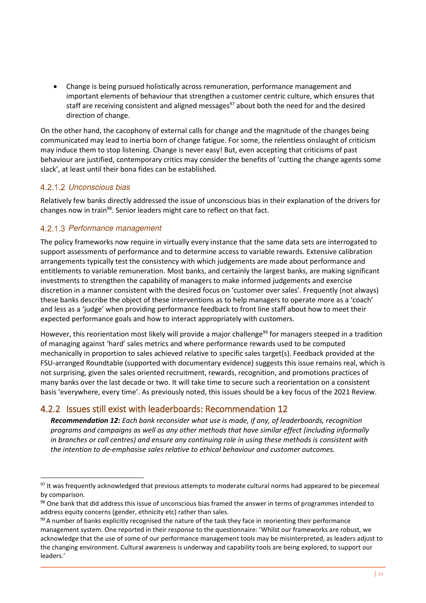• Change is being pursued holistically across remuneration, performance management and important elements of behaviour that strengthen a customer centric culture, which ensures that staff are receiving consistent and aligned messages<sup>97</sup> about both the need for and the desired direction of change.

On the other hand, the cacophony of external calls for change and the magnitude of the changes being communicated may lead to inertia born of change fatigue. For some, the relentless onslaught of criticism may induce them to stop listening. Change is never easy! But, even accepting that criticisms of past behaviour are justified, contemporary critics may consider the benefits of 'cutting the change agents some slack', at least until their bona fides can be established.

#### 4.2.1.2 Unconscious bias

-

Relatively few banks directly addressed the issue of unconscious bias in their explanation of the drivers for changes now in train<sup>98</sup>. Senior leaders might care to reflect on that fact.

#### 4.2.1.3 Performance management

The policy frameworks now require in virtually every instance that the same data sets are interrogated to support assessments of performance and to determine access to variable rewards. Extensive calibration arrangements typically test the consistency with which judgements are made about performance and entitlements to variable remuneration. Most banks, and certainly the largest banks, are making significant investments to strengthen the capability of managers to make informed judgements and exercise discretion in a manner consistent with the desired focus on 'customer over sales'. Frequently (not always) these banks describe the object of these interventions as to help managers to operate more as a 'coach' and less as a 'judge' when providing performance feedback to front line staff about how to meet their expected performance goals and how to interact appropriately with customers.

However, this reorientation most likely will provide a major challenge<sup>99</sup> for managers steeped in a tradition of managing against 'hard' sales metrics and where performance rewards used to be computed mechanically in proportion to sales achieved relative to specific sales target(s). Feedback provided at the FSU-arranged Roundtable (supported with documentary evidence) suggests this issue remains real, which is not surprising, given the sales oriented recruitment, rewards, recognition, and promotions practices of many banks over the last decade or two. It will take time to secure such a reorientation on a consistent basis 'everywhere, every time'. As previously noted, this issues should be a key focus of the 2021 Review.

### <span id="page-39-0"></span>4.2.2 Issues still exist with leaderboards: Recommendation 12

*Recommendation 12: Each bank reconsider what use is made, if any, of leaderboards, recognition programs and campaigns as well as any other methods that have similar effect (including informally in branches or call centres) and ensure any continuing role in using these methods is consistent with the intention to de-emphasise sales relative to ethical behaviour and customer outcomes.* 

<sup>97</sup> It was frequently acknowledged that previous attempts to moderate cultural norms had appeared to be piecemeal by comparison.

<sup>98</sup> One bank that did address this issue of unconscious bias framed the answer in terms of programmes intended to address equity concerns (gender, ethnicity etc) rather than sales.

<sup>99</sup> A number of banks explicitly recognised the nature of the task they face in reorienting their performance management system. One reported in their response to the questionnaire: 'Whilst our frameworks are robust, we acknowledge that the use of some of our performance management tools may be misinterpreted, as leaders adjust to the changing environment. Cultural awareness is underway and capability tools are being explored, to support our leaders.'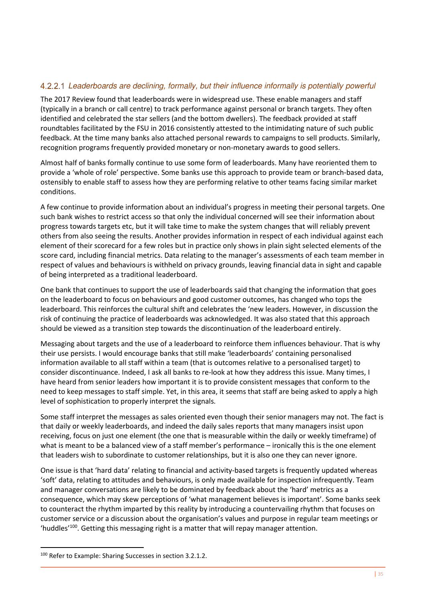#### Leaderboards are declining, formally, but their influence informally is potentially powerful

The 2017 Review found that leaderboards were in widespread use. These enable managers and staff (typically in a branch or call centre) to track performance against personal or branch targets. They often identified and celebrated the star sellers (and the bottom dwellers). The feedback provided at staff roundtables facilitated by the FSU in 2016 consistently attested to the intimidating nature of such public feedback. At the time many banks also attached personal rewards to campaigns to sell products. Similarly, recognition programs frequently provided monetary or non-monetary awards to good sellers.

Almost half of banks formally continue to use some form of leaderboards. Many have reoriented them to provide a 'whole of role' perspective. Some banks use this approach to provide team or branch-based data, ostensibly to enable staff to assess how they are performing relative to other teams facing similar market conditions.

A few continue to provide information about an individual's progress in meeting their personal targets. One such bank wishes to restrict access so that only the individual concerned will see their information about progress towards targets etc, but it will take time to make the system changes that will reliably prevent others from also seeing the results. Another provides information in respect of each individual against each element of their scorecard for a few roles but in practice only shows in plain sight selected elements of the score card, including financial metrics. Data relating to the manager's assessments of each team member in respect of values and behaviours is withheld on privacy grounds, leaving financial data in sight and capable of being interpreted as a traditional leaderboard.

One bank that continues to support the use of leaderboards said that changing the information that goes on the leaderboard to focus on behaviours and good customer outcomes, has changed who tops the leaderboard. This reinforces the cultural shift and celebrates the 'new leaders. However, in discussion the risk of continuing the practice of leaderboards was acknowledged. It was also stated that this approach should be viewed as a transition step towards the discontinuation of the leaderboard entirely.

Messaging about targets and the use of a leaderboard to reinforce them influences behaviour. That is why their use persists. I would encourage banks that still make 'leaderboards' containing personalised information available to all staff within a team (that is outcomes relative to a personalised target) to consider discontinuance. Indeed, I ask all banks to re-look at how they address this issue. Many times, I have heard from senior leaders how important it is to provide consistent messages that conform to the need to keep messages to staff simple. Yet, in this area, it seems that staff are being asked to apply a high level of sophistication to properly interpret the signals.

Some staff interpret the messages as sales oriented even though their senior managers may not. The fact is that daily or weekly leaderboards, and indeed the daily sales reports that many managers insist upon receiving, focus on just one element (the one that is measurable within the daily or weekly timeframe) of what is meant to be a balanced view of a staff member's performance – ironically this is the one element that leaders wish to subordinate to customer relationships, but it is also one they can never ignore.

One issue is that 'hard data' relating to financial and activity-based targets is frequently updated whereas 'soft' data, relating to attitudes and behaviours, is only made available for inspection infrequently. Team and manager conversations are likely to be dominated by feedback about the 'hard' metrics as a consequence, which may skew perceptions of 'what management believes is important'. Some banks seek to counteract the rhythm imparted by this reality by introducing a countervailing rhythm that focuses on customer service or a discussion about the organisation's values and purpose in regular team meetings or 'huddles<sup>'100</sup>. Getting this messaging right is a matter that will repay manager attention.

<sup>&</sup>lt;sup>100</sup> Refer to Example: Sharing Successes in section 3.2.1.2.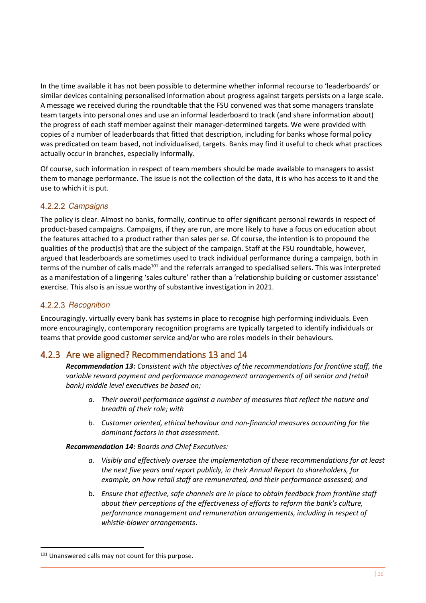In the time available it has not been possible to determine whether informal recourse to 'leaderboards' or similar devices containing personalised information about progress against targets persists on a large scale. A message we received during the roundtable that the FSU convened was that some managers translate team targets into personal ones and use an informal leaderboard to track (and share information about) the progress of each staff member against their manager-determined targets. We were provided with copies of a number of leaderboards that fitted that description, including for banks whose formal policy was predicated on team based, not individualised, targets. Banks may find it useful to check what practices actually occur in branches, especially informally.

Of course, such information in respect of team members should be made available to managers to assist them to manage performance. The issue is not the collection of the data, it is who has access to it and the use to which it is put.

#### 4.2.2.2 Campaigns

The policy is clear. Almost no banks, formally, continue to offer significant personal rewards in respect of product-based campaigns. Campaigns, if they are run, are more likely to have a focus on education about the features attached to a product rather than sales per se. Of course, the intention is to propound the qualities of the product(s) that are the subject of the campaign. Staff at the FSU roundtable, however, argued that leaderboards are sometimes used to track individual performance during a campaign, both in terms of the number of calls made<sup>101</sup> and the referrals arranged to specialised sellers. This was interpreted as a manifestation of a lingering 'sales culture' rather than a 'relationship building or customer assistance' exercise. This also is an issue worthy of substantive investigation in 2021.

### 4.2.2.3 Recognition

Encouragingly. virtually every bank has systems in place to recognise high performing individuals. Even more encouragingly, contemporary recognition programs are typically targeted to identify individuals or teams that provide good customer service and/or who are roles models in their behaviours.

### <span id="page-41-0"></span>4.2.3 Are we aligned? Recommendations 13 and 14

*Recommendation 13: Consistent with the objectives of the recommendations for frontline staff, the variable reward payment and performance management arrangements of all senior and (retail bank) middle level executives be based on;* 

- *a. Their overall performance against a number of measures that reflect the nature and breadth of their role; with*
- *b. Customer oriented, ethical behaviour and non-financial measures accounting for the dominant factors in that assessment.*

*Recommendation 14: Boards and Chief Executives:* 

- *a. Visibly and effectively oversee the implementation of these recommendations for at least the next five years and report publicly, in their Annual Report to shareholders, for example, on how retail staff are remunerated, and their performance assessed; and*
- b. *Ensure that effective, safe channels are in place to obtain feedback from frontline staff about their perceptions of the effectiveness of efforts to reform the bank's culture, performance management and remuneration arrangements, including in respect of whistle-blower arrangements*.

<sup>101</sup> Unanswered calls may not count for this purpose.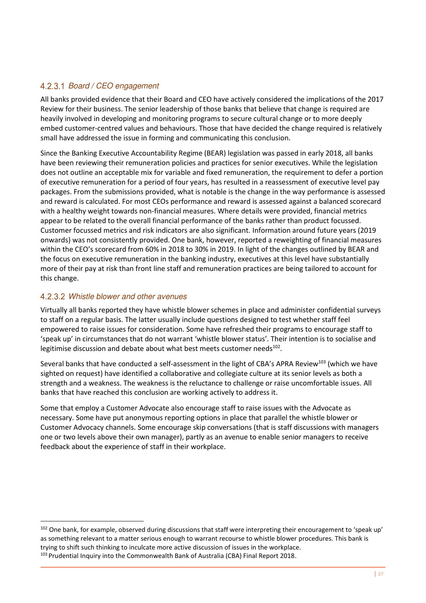### 4.2.3.1 Board / CEO engagement

All banks provided evidence that their Board and CEO have actively considered the implications of the 2017 Review for their business. The senior leadership of those banks that believe that change is required are heavily involved in developing and monitoring programs to secure cultural change or to more deeply embed customer-centred values and behaviours. Those that have decided the change required is relatively small have addressed the issue in forming and communicating this conclusion.

Since the Banking Executive Accountability Regime (BEAR) legislation was passed in early 2018, all banks have been reviewing their remuneration policies and practices for senior executives. While the legislation does not outline an acceptable mix for variable and fixed remuneration, the requirement to defer a portion of executive remuneration for a period of four years, has resulted in a reassessment of executive level pay packages. From the submissions provided, what is notable is the change in the way performance is assessed and reward is calculated. For most CEOs performance and reward is assessed against a balanced scorecard with a healthy weight towards non-financial measures. Where details were provided, financial metrics appear to be related to the overall financial performance of the banks rather than product focussed. Customer focussed metrics and risk indicators are also significant. Information around future years (2019 onwards) was not consistently provided. One bank, however, reported a reweighting of financial measures within the CEO's scorecard from 60% in 2018 to 30% in 2019. In light of the changes outlined by BEAR and the focus on executive remuneration in the banking industry, executives at this level have substantially more of their pay at risk than front line staff and remuneration practices are being tailored to account for this change.

#### Whistle blower and other avenues

<u>.</u>

Virtually all banks reported they have whistle blower schemes in place and administer confidential surveys to staff on a regular basis. The latter usually include questions designed to test whether staff feel empowered to raise issues for consideration. Some have refreshed their programs to encourage staff to 'speak up' in circumstances that do not warrant 'whistle blower status'. Their intention is to socialise and legitimise discussion and debate about what best meets customer needs<sup>102</sup>.

Several banks that have conducted a self-assessment in the light of CBA's APRA Review<sup>103</sup> (which we have sighted on request) have identified a collaborative and collegiate culture at its senior levels as both a strength and a weakness. The weakness is the reluctance to challenge or raise uncomfortable issues. All banks that have reached this conclusion are working actively to address it.

Some that employ a Customer Advocate also encourage staff to raise issues with the Advocate as necessary. Some have put anonymous reporting options in place that parallel the whistle blower or Customer Advocacy channels. Some encourage skip conversations (that is staff discussions with managers one or two levels above their own manager), partly as an avenue to enable senior managers to receive feedback about the experience of staff in their workplace.

<sup>102</sup> One bank, for example, observed during discussions that staff were interpreting their encouragement to 'speak up' as something relevant to a matter serious enough to warrant recourse to whistle blower procedures. This bank is trying to shift such thinking to inculcate more active discussion of issues in the workplace. <sup>103</sup> Prudential Inquiry into the Commonwealth Bank of Australia (CBA) Final Report 2018.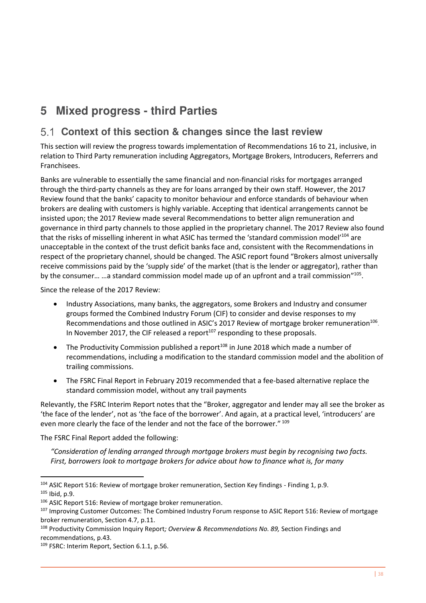# <span id="page-43-0"></span>**5 Mixed progress - third Parties**

# <span id="page-43-1"></span>**Context of this section & changes since the last review**

This section will review the progress towards implementation of Recommendations 16 to 21, inclusive, in relation to Third Party remuneration including Aggregators, Mortgage Brokers, Introducers, Referrers and Franchisees.

Banks are vulnerable to essentially the same financial and non-financial risks for mortgages arranged through the third-party channels as they are for loans arranged by their own staff. However, the 2017 Review found that the banks' capacity to monitor behaviour and enforce standards of behaviour when brokers are dealing with customers is highly variable. Accepting that identical arrangements cannot be insisted upon; the 2017 Review made several Recommendations to better align remuneration and governance in third party channels to those applied in the proprietary channel. The 2017 Review also found that the risks of misselling inherent in what ASIC has termed the 'standard commission model'<sup>104</sup> are unacceptable in the context of the trust deficit banks face and, consistent with the Recommendations in respect of the proprietary channel, should be changed. The ASIC report found "Brokers almost universally receive commissions paid by the 'supply side' of the market (that is the lender or aggregator), rather than by the consumer... ... a standard commission model made up of an upfront and a trail commission"<sup>105</sup>.

Since the release of the 2017 Review:

- Industry Associations, many banks, the aggregators, some Brokers and Industry and consumer groups formed the Combined Industry Forum (CIF) to consider and devise responses to my Recommendations and those outlined in ASIC's 2017 Review of mortgage broker remuneration<sup>106</sup>. In November 2017, the CIF released a report $107$  responding to these proposals.
- The Productivity Commission published a report<sup>108</sup> in June 2018 which made a number of recommendations, including a modification to the standard commission model and the abolition of trailing commissions.
- The FSRC Final Report in February 2019 recommended that a fee-based alternative replace the standard commission model, without any trail payments

Relevantly, the FSRC Interim Report notes that the "Broker, aggregator and lender may all see the broker as 'the face of the lender', not as 'the face of the borrower'. And again, at a practical level, 'introducers' are even more clearly the face of the lender and not the face of the borrower." 109

The FSRC Final Report added the following:

<u>.</u>

*"Consideration of lending arranged through mortgage brokers must begin by recognising two facts. First, borrowers look to mortgage brokers for advice about how to finance what is, for many* 

<sup>&</sup>lt;sup>104</sup> ASIC Report 516: Review of mortgage broker remuneration, Section Key findings - Finding 1, p.9. <sup>105</sup> Ibid, p.9.

<sup>&</sup>lt;sup>106</sup> ASIC Report 516: Review of mortgage broker remuneration.

<sup>107</sup> Improving Customer Outcomes: The Combined Industry Forum response to ASIC Report 516: Review of mortgage broker remuneration, Section 4.7, p.11.

<sup>108</sup> Productivity Commission Inquiry Report*; Overview & Recommendations No. 89,* Section Findings and recommendations, p.43.

<sup>109</sup> FSRC: Interim Report, Section 6.1.1, p.56.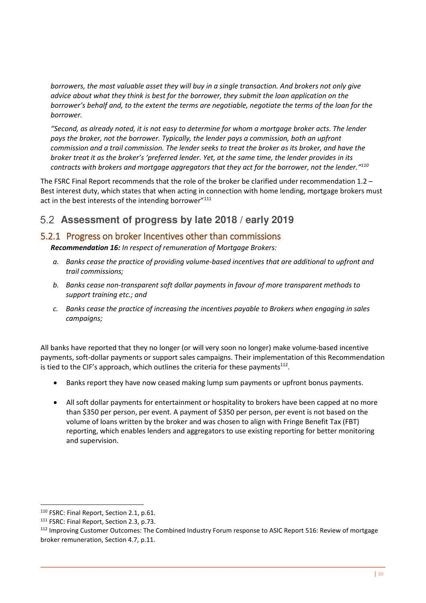*borrowers, the most valuable asset they will buy in a single transaction. And brokers not only give advice about what they think is best for the borrower, they submit the loan application on the borrower's behalf and, to the extent the terms are negotiable, negotiate the terms of the loan for the borrower.* 

*"Second, as already noted, it is not easy to determine for whom a mortgage broker acts. The lender pays the broker, not the borrower. Typically, the lender pays a commission, both an upfront commission and a trail commission. The lender seeks to treat the broker as its broker, and have the broker treat it as the broker's 'preferred lender. Yet, at the same time, the lender provides in its contracts with brokers and mortgage aggregators that they act for the borrower, not the lender." 110*

The FSRC Final Report recommends that the role of the broker be clarified under recommendation 1.2 – Best interest duty, which states that when acting in connection with home lending, mortgage brokers must act in the best interests of the intending borrower"<sup>111</sup>

# <span id="page-44-0"></span>**Assessment of progress by late 2018 / early 2019**

# <span id="page-44-1"></span>5.2.1 Progress on broker Incentives other than commissions

*Recommendation 16: In respect of remuneration of Mortgage Brokers:* 

- *a. Banks cease the practice of providing volume-based incentives that are additional to upfront and trail commissions;*
- *b. Banks cease non-transparent soft dollar payments in favour of more transparent methods to support training etc.; and*
- *c. Banks cease the practice of increasing the incentives payable to Brokers when engaging in sales campaigns;*

All banks have reported that they no longer (or will very soon no longer) make volume-based incentive payments, soft-dollar payments or support sales campaigns. Their implementation of this Recommendation is tied to the CIF's approach, which outlines the criteria for these payments $^{112}$ .

- Banks report they have now ceased making lump sum payments or upfront bonus payments.
- All soft dollar payments for entertainment or hospitality to brokers have been capped at no more than \$350 per person, per event. A payment of \$350 per person, per event is not based on the volume of loans written by the broker and was chosen to align with Fringe Benefit Tax (FBT) reporting, which enables lenders and aggregators to use existing reporting for better monitoring and supervision.

<sup>110</sup> FSRC: Final Report, Section 2.1, p.61.

<sup>&</sup>lt;sup>111</sup> FSRC: Final Report, Section 2.3, p.73.

<sup>112</sup> Improving Customer Outcomes: The Combined Industry Forum response to ASIC Report 516: Review of mortgage broker remuneration, Section 4.7, p.11.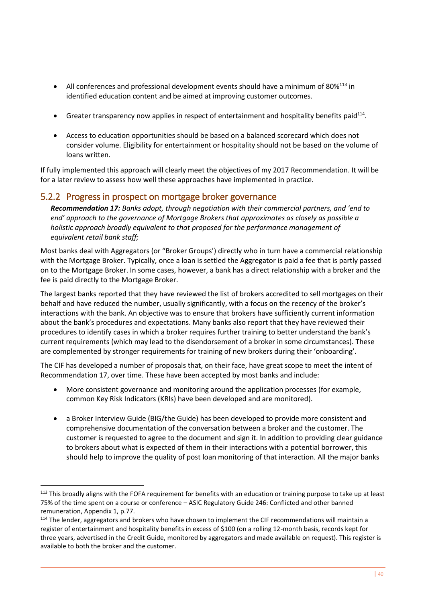- All conferences and professional development events should have a minimum of  $80\%^{113}$  in identified education content and be aimed at improving customer outcomes.
- Greater transparency now applies in respect of entertainment and hospitality benefits paid<sup>114</sup>.
- Access to education opportunities should be based on a balanced scorecard which does not consider volume. Eligibility for entertainment or hospitality should not be based on the volume of loans written.

If fully implemented this approach will clearly meet the objectives of my 2017 Recommendation. It will be for a later review to assess how well these approaches have implemented in practice.

# <span id="page-45-0"></span>5.2.2 Progress in prospect on mortgage broker governance

<u>.</u>

*Recommendation 17: Banks adopt, through negotiation with their commercial partners, and 'end to end' approach to the governance of Mortgage Brokers that approximates as closely as possible a holistic approach broadly equivalent to that proposed for the performance management of equivalent retail bank staff;* 

Most banks deal with Aggregators (or "Broker Groups') directly who in turn have a commercial relationship with the Mortgage Broker. Typically, once a loan is settled the Aggregator is paid a fee that is partly passed on to the Mortgage Broker. In some cases, however, a bank has a direct relationship with a broker and the fee is paid directly to the Mortgage Broker.

The largest banks reported that they have reviewed the list of brokers accredited to sell mortgages on their behalf and have reduced the number, usually significantly, with a focus on the recency of the broker's interactions with the bank. An objective was to ensure that brokers have sufficiently current information about the bank's procedures and expectations. Many banks also report that they have reviewed their procedures to identify cases in which a broker requires further training to better understand the bank's current requirements (which may lead to the disendorsement of a broker in some circumstances). These are complemented by stronger requirements for training of new brokers during their 'onboarding'.

The CIF has developed a number of proposals that, on their face, have great scope to meet the intent of Recommendation 17, over time. These have been accepted by most banks and include:

- More consistent governance and monitoring around the application processes (for example, common Key Risk Indicators (KRIs) have been developed and are monitored).
- a Broker Interview Guide (BIG/the Guide) has been developed to provide more consistent and comprehensive documentation of the conversation between a broker and the customer. The customer is requested to agree to the document and sign it. In addition to providing clear guidance to brokers about what is expected of them in their interactions with a potential borrower, this should help to improve the quality of post loan monitoring of that interaction. All the major banks

<sup>&</sup>lt;sup>113</sup> This broadly aligns with the FOFA requirement for benefits with an education or training purpose to take up at least 75% of the time spent on a course or conference – ASIC Regulatory Guide 246: Conflicted and other banned remuneration, Appendix 1, p.77.

<sup>&</sup>lt;sup>114</sup> The lender, aggregators and brokers who have chosen to implement the CIF recommendations will maintain a register of entertainment and hospitality benefits in excess of \$100 (on a rolling 12-month basis, records kept for three years, advertised in the Credit Guide, monitored by aggregators and made available on request). This register is available to both the broker and the customer.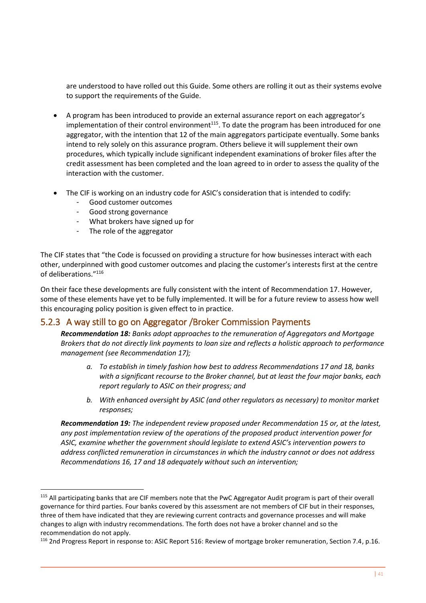are understood to have rolled out this Guide. Some others are rolling it out as their systems evolve to support the requirements of the Guide.

- A program has been introduced to provide an external assurance report on each aggregator's implementation of their control environment<sup>115</sup>. To date the program has been introduced for one aggregator, with the intention that 12 of the main aggregators participate eventually. Some banks intend to rely solely on this assurance program. Others believe it will supplement their own procedures, which typically include significant independent examinations of broker files after the credit assessment has been completed and the loan agreed to in order to assess the quality of the interaction with the customer.
- The CIF is working on an industry code for ASIC's consideration that is intended to codify:
	- Good customer outcomes
	- Good strong governance
	- What brokers have signed up for
	- The role of the aggregator

<u>.</u>

The CIF states that "the Code is focussed on providing a structure for how businesses interact with each other, underpinned with good customer outcomes and placing the customer's interests first at the centre of deliberations." 116

On their face these developments are fully consistent with the intent of Recommendation 17. However, some of these elements have yet to be fully implemented. It will be for a future review to assess how well this encouraging policy position is given effect to in practice.

#### <span id="page-46-0"></span>5.2.3 A way still to go on Aggregator /Broker Commission Payments

*Recommendation 18: Banks adopt approaches to the remuneration of Aggregators and Mortgage Brokers that do not directly link payments to loan size and reflects a holistic approach to performance management (see Recommendation 17);* 

- *a. To establish in timely fashion how best to address Recommendations 17 and 18, banks with a significant recourse to the Broker channel, but at least the four major banks, each report regularly to ASIC on their progress; and*
- *b. With enhanced oversight by ASIC (and other regulators as necessary) to monitor market responses;*

*Recommendation 19: The independent review proposed under Recommendation 15 or, at the latest, any post implementation review of the operations of the proposed product intervention power for ASIC, examine whether the government should legislate to extend ASIC's intervention powers to address conflicted remuneration in circumstances in which the industry cannot or does not address Recommendations 16, 17 and 18 adequately without such an intervention;* 

<sup>&</sup>lt;sup>115</sup> All participating banks that are CIF members note that the PwC Aggregator Audit program is part of their overall governance for third parties. Four banks covered by this assessment are not members of CIF but in their responses, three of them have indicated that they are reviewing current contracts and governance processes and will make changes to align with industry recommendations. The forth does not have a broker channel and so the recommendation do not apply.

<sup>116</sup> 2nd Progress Report in response to: ASIC Report 516: Review of mortgage broker remuneration, Section 7.4, p.16.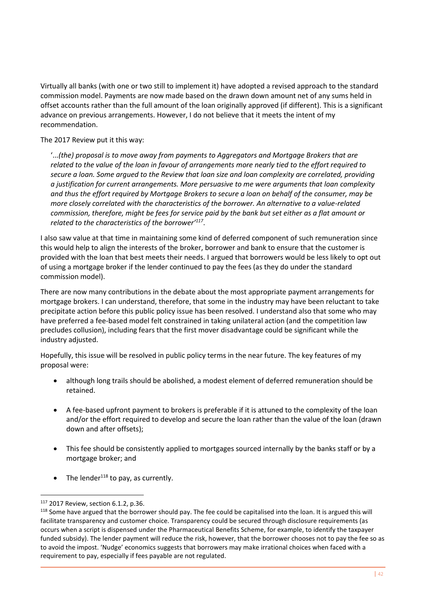Virtually all banks (with one or two still to implement it) have adopted a revised approach to the standard commission model. Payments are now made based on the drawn down amount net of any sums held in offset accounts rather than the full amount of the loan originally approved (if different). This is a significant advance on previous arrangements. However, I do not believe that it meets the intent of my recommendation.

The 2017 Review put it this way:

'...*(the) proposal is to move away from payments to Aggregators and Mortgage Brokers that are related to the value of the loan in favour of arrangements more nearly tied to the effort required to secure a loan. Some argued to the Review that loan size and loan complexity are correlated, providing a justification for current arrangements. More persuasive to me were arguments that loan complexity and thus the effort required by Mortgage Brokers to secure a loan on behalf of the consumer, may be more closely correlated with the characteristics of the borrower. An alternative to a value-related commission, therefore, might be fees for service paid by the bank but set either as a flat amount or related to the characteristics of the borrower'<sup>117</sup>* .

I also saw value at that time in maintaining some kind of deferred component of such remuneration since this would help to align the interests of the broker, borrower and bank to ensure that the customer is provided with the loan that best meets their needs. I argued that borrowers would be less likely to opt out of using a mortgage broker if the lender continued to pay the fees (as they do under the standard commission model).

There are now many contributions in the debate about the most appropriate payment arrangements for mortgage brokers. I can understand, therefore, that some in the industry may have been reluctant to take precipitate action before this public policy issue has been resolved. I understand also that some who may have preferred a fee-based model felt constrained in taking unilateral action (and the competition law precludes collusion), including fears that the first mover disadvantage could be significant while the industry adjusted.

Hopefully, this issue will be resolved in public policy terms in the near future. The key features of my proposal were:

- although long trails should be abolished, a modest element of deferred remuneration should be retained.
- A fee-based upfront payment to brokers is preferable if it is attuned to the complexity of the loan and/or the effort required to develop and secure the loan rather than the value of the loan (drawn down and after offsets);
- This fee should be consistently applied to mortgages sourced internally by the banks staff or by a mortgage broker; and
- The lender<sup>118</sup> to pay, as currently.

-

<sup>117</sup> 2017 Review, section 6.1.2, p.36.

<sup>&</sup>lt;sup>118</sup> Some have argued that the borrower should pay. The fee could be capitalised into the loan. It is argued this will facilitate transparency and customer choice. Transparency could be secured through disclosure requirements (as occurs when a script is dispensed under the Pharmaceutical Benefits Scheme, for example, to identify the taxpayer funded subsidy). The lender payment will reduce the risk, however, that the borrower chooses not to pay the fee so as to avoid the impost. 'Nudge' economics suggests that borrowers may make irrational choices when faced with a requirement to pay, especially if fees payable are not regulated.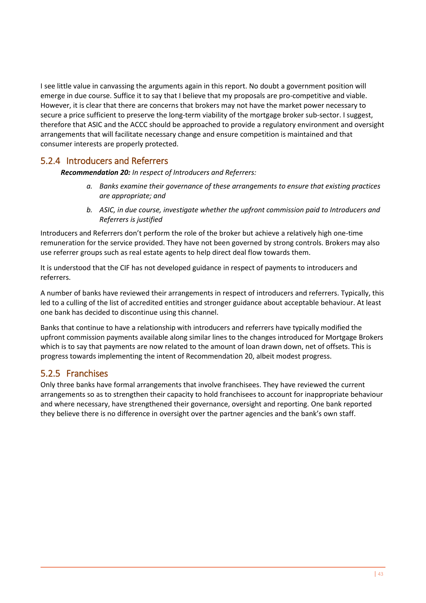I see little value in canvassing the arguments again in this report. No doubt a government position will emerge in due course. Suffice it to say that I believe that my proposals are pro-competitive and viable. However, it is clear that there are concerns that brokers may not have the market power necessary to secure a price sufficient to preserve the long-term viability of the mortgage broker sub-sector. I suggest, therefore that ASIC and the ACCC should be approached to provide a regulatory environment and oversight arrangements that will facilitate necessary change and ensure competition is maintained and that consumer interests are properly protected.

### <span id="page-48-0"></span>5.2.4 Introducers and Referrers

*Recommendation 20: In respect of Introducers and Referrers:* 

- *a. Banks examine their governance of these arrangements to ensure that existing practices are appropriate; and*
- *b. ASIC, in due course, investigate whether the upfront commission paid to Introducers and Referrers is justified*

Introducers and Referrers don't perform the role of the broker but achieve a relatively high one-time remuneration for the service provided. They have not been governed by strong controls. Brokers may also use referrer groups such as real estate agents to help direct deal flow towards them.

It is understood that the CIF has not developed guidance in respect of payments to introducers and referrers.

A number of banks have reviewed their arrangements in respect of introducers and referrers. Typically, this led to a culling of the list of accredited entities and stronger guidance about acceptable behaviour. At least one bank has decided to discontinue using this channel.

Banks that continue to have a relationship with introducers and referrers have typically modified the upfront commission payments available along similar lines to the changes introduced for Mortgage Brokers which is to say that payments are now related to the amount of loan drawn down, net of offsets. This is progress towards implementing the intent of Recommendation 20, albeit modest progress.

### <span id="page-48-1"></span>5.2.5 Franchises

Only three banks have formal arrangements that involve franchisees. They have reviewed the current arrangements so as to strengthen their capacity to hold franchisees to account for inappropriate behaviour and where necessary, have strengthened their governance, oversight and reporting. One bank reported they believe there is no difference in oversight over the partner agencies and the bank's own staff.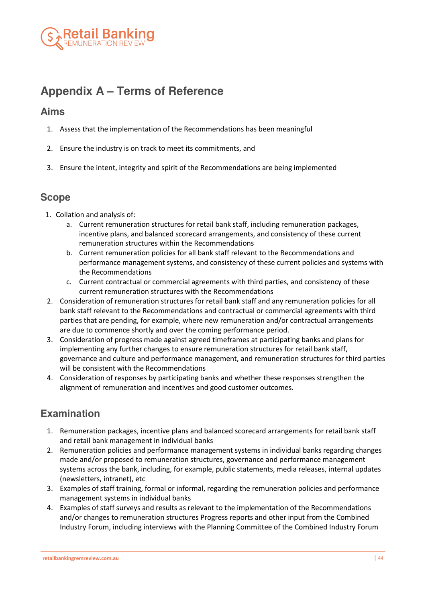

# <span id="page-49-0"></span>**Appendix A – Terms of Reference**

# **Aims**

- 1. Assess that the implementation of the Recommendations has been meaningful
- 2. Ensure the industry is on track to meet its commitments, and
- 3. Ensure the intent, integrity and spirit of the Recommendations are being implemented

# **Scope**

- 1. Collation and analysis of:
	- a. Current remuneration structures for retail bank staff, including remuneration packages, incentive plans, and balanced scorecard arrangements, and consistency of these current remuneration structures within the Recommendations
	- b. Current remuneration policies for all bank staff relevant to the Recommendations and performance management systems, and consistency of these current policies and systems with the Recommendations
	- c. Current contractual or commercial agreements with third parties, and consistency of these current remuneration structures with the Recommendations
- 2. Consideration of remuneration structures for retail bank staff and any remuneration policies for all bank staff relevant to the Recommendations and contractual or commercial agreements with third parties that are pending, for example, where new remuneration and/or contractual arrangements are due to commence shortly and over the coming performance period.
- 3. Consideration of progress made against agreed timeframes at participating banks and plans for implementing any further changes to ensure remuneration structures for retail bank staff, governance and culture and performance management, and remuneration structures for third parties will be consistent with the Recommendations
- 4. Consideration of responses by participating banks and whether these responses strengthen the alignment of remuneration and incentives and good customer outcomes.

# **Examination**

- 1. Remuneration packages, incentive plans and balanced scorecard arrangements for retail bank staff and retail bank management in individual banks
- 2. Remuneration policies and performance management systems in individual banks regarding changes made and/or proposed to remuneration structures, governance and performance management systems across the bank, including, for example, public statements, media releases, internal updates (newsletters, intranet), etc
- 3. Examples of staff training, formal or informal, regarding the remuneration policies and performance management systems in individual banks
- 4. Examples of staff surveys and results as relevant to the implementation of the Recommendations and/or changes to remuneration structures Progress reports and other input from the Combined Industry Forum, including interviews with the Planning Committee of the Combined Industry Forum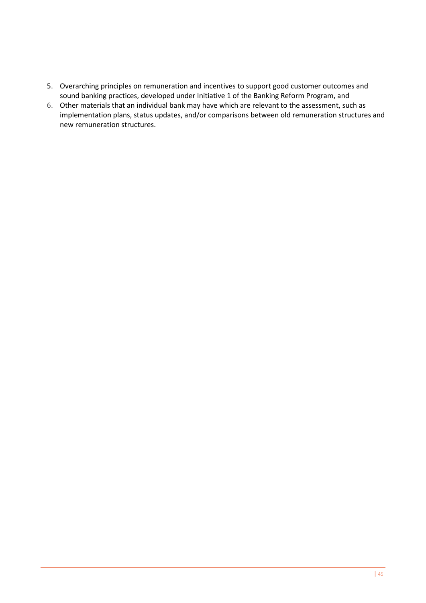- 5. Overarching principles on remuneration and incentives to support good customer outcomes and sound banking practices, developed under Initiative 1 of the Banking Reform Program, and
- 6. Other materials that an individual bank may have which are relevant to the assessment, such as implementation plans, status updates, and/or comparisons between old remuneration structures and new remuneration structures.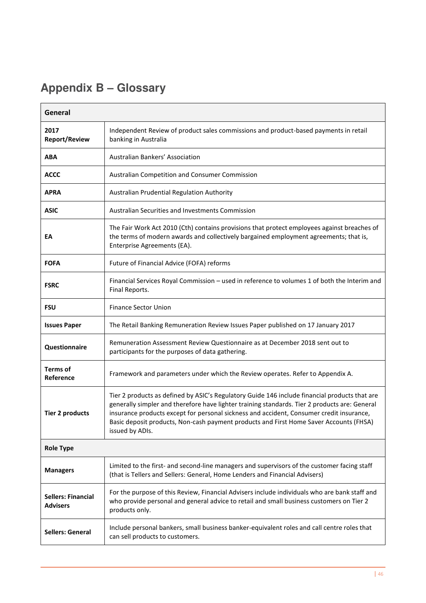# <span id="page-51-0"></span>**Appendix B – Glossary**

| General                                      |                                                                                                                                                                                                                                                                                                                                                                                                         |  |  |
|----------------------------------------------|---------------------------------------------------------------------------------------------------------------------------------------------------------------------------------------------------------------------------------------------------------------------------------------------------------------------------------------------------------------------------------------------------------|--|--|
| 2017<br><b>Report/Review</b>                 | Independent Review of product sales commissions and product-based payments in retail<br>banking in Australia                                                                                                                                                                                                                                                                                            |  |  |
| ABA                                          | Australian Bankers' Association                                                                                                                                                                                                                                                                                                                                                                         |  |  |
| <b>ACCC</b>                                  | Australian Competition and Consumer Commission                                                                                                                                                                                                                                                                                                                                                          |  |  |
| <b>APRA</b>                                  | Australian Prudential Regulation Authority                                                                                                                                                                                                                                                                                                                                                              |  |  |
| <b>ASIC</b>                                  | <b>Australian Securities and Investments Commission</b>                                                                                                                                                                                                                                                                                                                                                 |  |  |
| EA                                           | The Fair Work Act 2010 (Cth) contains provisions that protect employees against breaches of<br>the terms of modern awards and collectively bargained employment agreements; that is,<br>Enterprise Agreements (EA).                                                                                                                                                                                     |  |  |
| <b>FOFA</b>                                  | Future of Financial Advice (FOFA) reforms                                                                                                                                                                                                                                                                                                                                                               |  |  |
| <b>FSRC</b>                                  | Financial Services Royal Commission - used in reference to volumes 1 of both the Interim and<br>Final Reports.                                                                                                                                                                                                                                                                                          |  |  |
| <b>FSU</b>                                   | <b>Finance Sector Union</b>                                                                                                                                                                                                                                                                                                                                                                             |  |  |
| <b>Issues Paper</b>                          | The Retail Banking Remuneration Review Issues Paper published on 17 January 2017                                                                                                                                                                                                                                                                                                                        |  |  |
| Questionnaire                                | Remuneration Assessment Review Questionnaire as at December 2018 sent out to<br>participants for the purposes of data gathering.                                                                                                                                                                                                                                                                        |  |  |
| <b>Terms of</b><br>Reference                 | Framework and parameters under which the Review operates. Refer to Appendix A.                                                                                                                                                                                                                                                                                                                          |  |  |
| <b>Tier 2 products</b>                       | Tier 2 products as defined by ASIC's Regulatory Guide 146 include financial products that are<br>generally simpler and therefore have lighter training standards. Tier 2 products are: General<br>insurance products except for personal sickness and accident, Consumer credit insurance,<br>Basic deposit products, Non-cash payment products and First Home Saver Accounts (FHSA)<br>issued by ADIs. |  |  |
| <b>Role Type</b>                             |                                                                                                                                                                                                                                                                                                                                                                                                         |  |  |
| <b>Managers</b>                              | Limited to the first- and second-line managers and supervisors of the customer facing staff<br>(that is Tellers and Sellers: General, Home Lenders and Financial Advisers)                                                                                                                                                                                                                              |  |  |
| <b>Sellers: Financial</b><br><b>Advisers</b> | For the purpose of this Review, Financial Advisers include individuals who are bank staff and<br>who provide personal and general advice to retail and small business customers on Tier 2<br>products only.                                                                                                                                                                                             |  |  |
| <b>Sellers: General</b>                      | Include personal bankers, small business banker-equivalent roles and call centre roles that<br>can sell products to customers.                                                                                                                                                                                                                                                                          |  |  |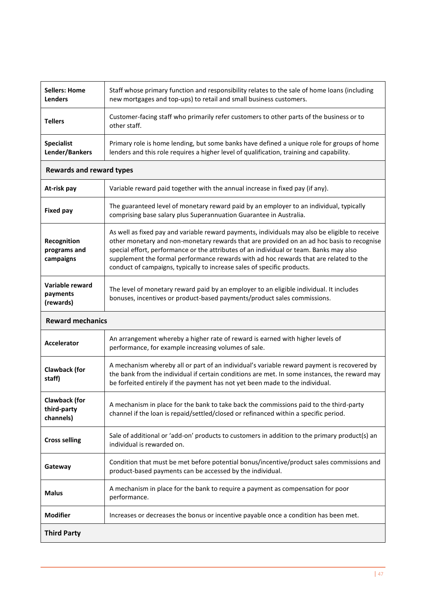| <b>Sellers: Home</b><br><b>Lenders</b>           | Staff whose primary function and responsibility relates to the sale of home loans (including<br>new mortgages and top-ups) to retail and small business customers.                                                                                                                                                                                                                                                                                        |  |  |  |  |
|--------------------------------------------------|-----------------------------------------------------------------------------------------------------------------------------------------------------------------------------------------------------------------------------------------------------------------------------------------------------------------------------------------------------------------------------------------------------------------------------------------------------------|--|--|--|--|
| <b>Tellers</b>                                   | Customer-facing staff who primarily refer customers to other parts of the business or to<br>other staff.                                                                                                                                                                                                                                                                                                                                                  |  |  |  |  |
| <b>Specialist</b><br>Lender/Bankers              | Primary role is home lending, but some banks have defined a unique role for groups of home<br>lenders and this role requires a higher level of qualification, training and capability.                                                                                                                                                                                                                                                                    |  |  |  |  |
|                                                  | <b>Rewards and reward types</b>                                                                                                                                                                                                                                                                                                                                                                                                                           |  |  |  |  |
| At-risk pay                                      | Variable reward paid together with the annual increase in fixed pay (if any).                                                                                                                                                                                                                                                                                                                                                                             |  |  |  |  |
| <b>Fixed pay</b>                                 | The guaranteed level of monetary reward paid by an employer to an individual, typically<br>comprising base salary plus Superannuation Guarantee in Australia.                                                                                                                                                                                                                                                                                             |  |  |  |  |
| Recognition<br>programs and<br>campaigns         | As well as fixed pay and variable reward payments, individuals may also be eligible to receive<br>other monetary and non-monetary rewards that are provided on an ad hoc basis to recognise<br>special effort, performance or the attributes of an individual or team. Banks may also<br>supplement the formal performance rewards with ad hoc rewards that are related to the<br>conduct of campaigns, typically to increase sales of specific products. |  |  |  |  |
| Variable reward<br>payments<br>(rewards)         | The level of monetary reward paid by an employer to an eligible individual. It includes<br>bonuses, incentives or product-based payments/product sales commissions.                                                                                                                                                                                                                                                                                       |  |  |  |  |
| <b>Reward mechanics</b>                          |                                                                                                                                                                                                                                                                                                                                                                                                                                                           |  |  |  |  |
| <b>Accelerator</b>                               | An arrangement whereby a higher rate of reward is earned with higher levels of<br>performance, for example increasing volumes of sale.                                                                                                                                                                                                                                                                                                                    |  |  |  |  |
| <b>Clawback (for</b><br>staff)                   | A mechanism whereby all or part of an individual's variable reward payment is recovered by<br>the bank from the individual if certain conditions are met. In some instances, the reward may<br>be forfeited entirely if the payment has not yet been made to the individual.                                                                                                                                                                              |  |  |  |  |
| <b>Clawback (for</b><br>third-party<br>channels) | A mechanism in place for the bank to take back the commissions paid to the third-party<br>channel if the loan is repaid/settled/closed or refinanced within a specific period.                                                                                                                                                                                                                                                                            |  |  |  |  |
| <b>Cross selling</b>                             | Sale of additional or 'add-on' products to customers in addition to the primary product(s) an<br>individual is rewarded on.                                                                                                                                                                                                                                                                                                                               |  |  |  |  |
| Gateway                                          | Condition that must be met before potential bonus/incentive/product sales commissions and<br>product-based payments can be accessed by the individual.                                                                                                                                                                                                                                                                                                    |  |  |  |  |
| <b>Malus</b>                                     | A mechanism in place for the bank to require a payment as compensation for poor<br>performance.                                                                                                                                                                                                                                                                                                                                                           |  |  |  |  |
| <b>Modifier</b>                                  | Increases or decreases the bonus or incentive payable once a condition has been met.                                                                                                                                                                                                                                                                                                                                                                      |  |  |  |  |
| <b>Third Party</b>                               |                                                                                                                                                                                                                                                                                                                                                                                                                                                           |  |  |  |  |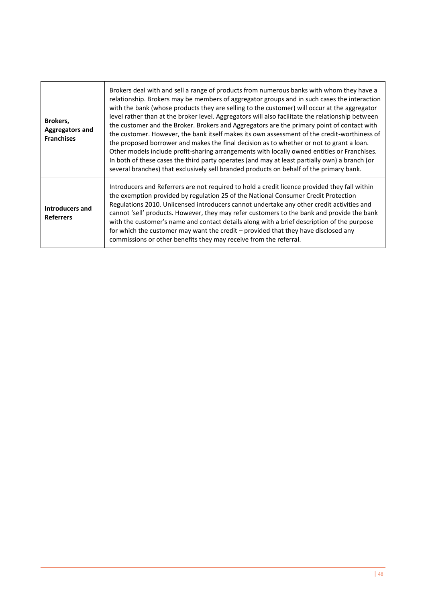| Brokers,<br><b>Aggregators and</b><br><b>Franchises</b> | Brokers deal with and sell a range of products from numerous banks with whom they have a<br>relationship. Brokers may be members of aggregator groups and in such cases the interaction<br>with the bank (whose products they are selling to the customer) will occur at the aggregator<br>level rather than at the broker level. Aggregators will also facilitate the relationship between<br>the customer and the Broker. Brokers and Aggregators are the primary point of contact with<br>the customer. However, the bank itself makes its own assessment of the credit-worthiness of<br>the proposed borrower and makes the final decision as to whether or not to grant a loan.<br>Other models include profit-sharing arrangements with locally owned entities or Franchises.<br>In both of these cases the third party operates (and may at least partially own) a branch (or<br>several branches) that exclusively sell branded products on behalf of the primary bank. |
|---------------------------------------------------------|---------------------------------------------------------------------------------------------------------------------------------------------------------------------------------------------------------------------------------------------------------------------------------------------------------------------------------------------------------------------------------------------------------------------------------------------------------------------------------------------------------------------------------------------------------------------------------------------------------------------------------------------------------------------------------------------------------------------------------------------------------------------------------------------------------------------------------------------------------------------------------------------------------------------------------------------------------------------------------|
| <b>Introducers and</b><br><b>Referrers</b>              | Introducers and Referrers are not required to hold a credit licence provided they fall within<br>the exemption provided by regulation 25 of the National Consumer Credit Protection<br>Regulations 2010. Unlicensed introducers cannot undertake any other credit activities and<br>cannot 'sell' products. However, they may refer customers to the bank and provide the bank<br>with the customer's name and contact details along with a brief description of the purpose<br>for which the customer may want the credit - provided that they have disclosed any<br>commissions or other benefits they may receive from the referral.                                                                                                                                                                                                                                                                                                                                         |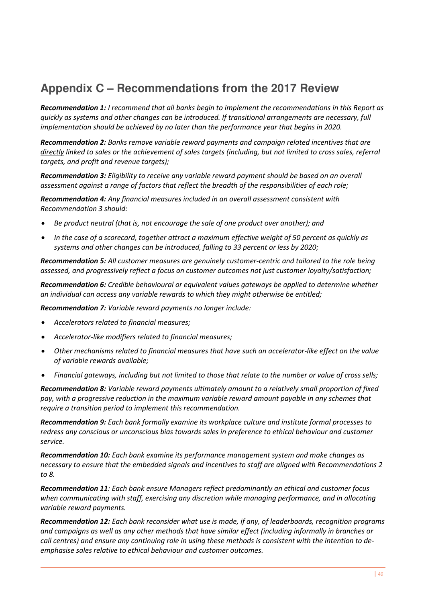# <span id="page-54-0"></span>**Appendix C – Recommendations from the 2017 Review**

*Recommendation 1: I recommend that all banks begin to implement the recommendations in this Report as quickly as systems and other changes can be introduced. If transitional arrangements are necessary, full implementation should be achieved by no later than the performance year that begins in 2020.* 

*Recommendation 2: Banks remove variable reward payments and campaign related incentives that are directly linked to sales or the achievement of sales targets (including, but not limited to cross sales, referral targets, and profit and revenue targets);* 

*Recommendation 3: Eligibility to receive any variable reward payment should be based on an overall assessment against a range of factors that reflect the breadth of the responsibilities of each role;* 

*Recommendation 4: Any financial measures included in an overall assessment consistent with Recommendation 3 should:* 

- *Be product neutral (that is, not encourage the sale of one product over another); and*
- *In the case of a scorecard, together attract a maximum effective weight of 50 percent as quickly as systems and other changes can be introduced, falling to 33 percent or less by 2020;*

*Recommendation 5: All customer measures are genuinely customer-centric and tailored to the role being assessed, and progressively reflect a focus on customer outcomes not just customer loyalty/satisfaction;* 

*Recommendation 6: Credible behavioural or equivalent values gateways be applied to determine whether an individual can access any variable rewards to which they might otherwise be entitled;* 

*Recommendation 7: Variable reward payments no longer include:* 

- *Accelerators related to financial measures;*
- *Accelerator-like modifiers related to financial measures;*
- *Other mechanisms related to financial measures that have such an accelerator-like effect on the value of variable rewards available;*
- *Financial gateways, including but not limited to those that relate to the number or value of cross sells;*

*Recommendation 8: Variable reward payments ultimately amount to a relatively small proportion of fixed pay, with a progressive reduction in the maximum variable reward amount payable in any schemes that require a transition period to implement this recommendation.* 

*Recommendation 9: Each bank formally examine its workplace culture and institute formal processes to redress any conscious or unconscious bias towards sales in preference to ethical behaviour and customer service.* 

*Recommendation 10: Each bank examine its performance management system and make changes as necessary to ensure that the embedded signals and incentives to staff are aligned with Recommendations 2 to 8.* 

*Recommendation 11: Each bank ensure Managers reflect predominantly an ethical and customer focus when communicating with staff, exercising any discretion while managing performance, and in allocating variable reward payments.* 

*Recommendation 12: Each bank reconsider what use is made, if any, of leaderboards, recognition programs and campaigns as well as any other methods that have similar effect (including informally in branches or call centres) and ensure any continuing role in using these methods is consistent with the intention to deemphasise sales relative to ethical behaviour and customer outcomes.*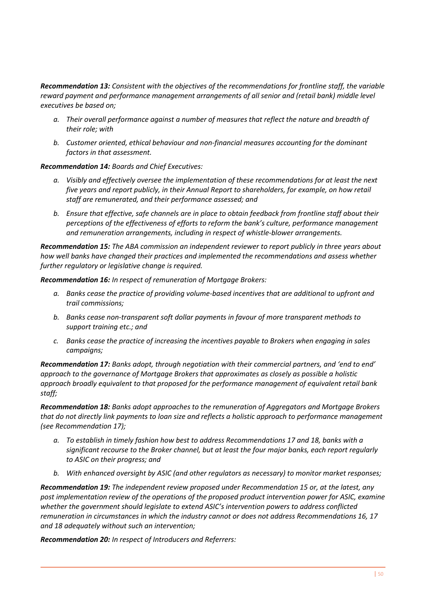*Recommendation 13: Consistent with the objectives of the recommendations for frontline staff, the variable reward payment and performance management arrangements of all senior and (retail bank) middle level executives be based on;* 

- *a. Their overall performance against a number of measures that reflect the nature and breadth of their role; with*
- *b. Customer oriented, ethical behaviour and non-financial measures accounting for the dominant factors in that assessment.*

*Recommendation 14: Boards and Chief Executives:* 

- *a. Visibly and effectively oversee the implementation of these recommendations for at least the next five years and report publicly, in their Annual Report to shareholders, for example, on how retail staff are remunerated, and their performance assessed; and*
- *b. Ensure that effective, safe channels are in place to obtain feedback from frontline staff about their perceptions of the effectiveness of efforts to reform the bank's culture, performance management and remuneration arrangements, including in respect of whistle-blower arrangements.*

*Recommendation 15: The ABA commission an independent reviewer to report publicly in three years about how well banks have changed their practices and implemented the recommendations and assess whether further regulatory or legislative change is required.* 

*Recommendation 16: In respect of remuneration of Mortgage Brokers:* 

- *a. Banks cease the practice of providing volume-based incentives that are additional to upfront and trail commissions;*
- *b. Banks cease non-transparent soft dollar payments in favour of more transparent methods to support training etc.; and*
- *c. Banks cease the practice of increasing the incentives payable to Brokers when engaging in sales campaigns;*

*Recommendation 17: Banks adopt, through negotiation with their commercial partners, and 'end to end' approach to the governance of Mortgage Brokers that approximates as closely as possible a holistic approach broadly equivalent to that proposed for the performance management of equivalent retail bank staff;* 

*Recommendation 18: Banks adopt approaches to the remuneration of Aggregators and Mortgage Brokers that do not directly link payments to loan size and reflects a holistic approach to performance management (see Recommendation 17);* 

- *a. To establish in timely fashion how best to address Recommendations 17 and 18, banks with a significant recourse to the Broker channel, but at least the four major banks, each report regularly to ASIC on their progress; and*
- *b. With enhanced oversight by ASIC (and other regulators as necessary) to monitor market responses;*

*Recommendation 19: The independent review proposed under Recommendation 15 or, at the latest, any post implementation review of the operations of the proposed product intervention power for ASIC, examine whether the government should legislate to extend ASIC's intervention powers to address conflicted remuneration in circumstances in which the industry cannot or does not address Recommendations 16, 17 and 18 adequately without such an intervention;* 

*Recommendation 20: In respect of Introducers and Referrers:*